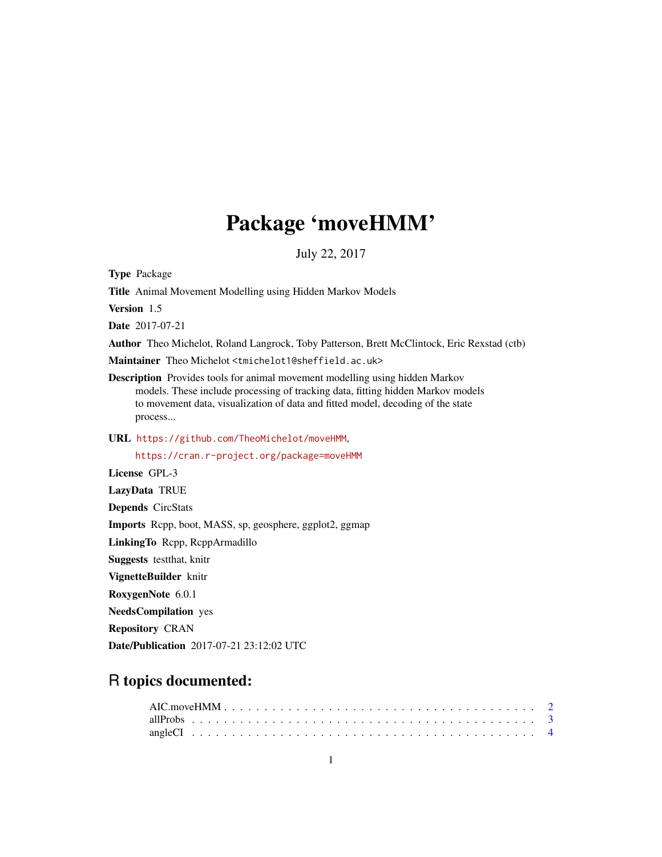## Package 'moveHMM'

July 22, 2017

<span id="page-0-0"></span>Type Package Title Animal Movement Modelling using Hidden Markov Models Version 1.5 Date 2017-07-21 Author Theo Michelot, Roland Langrock, Toby Patterson, Brett McClintock, Eric Rexstad (ctb) Maintainer Theo Michelot <tmichelot1@sheffield.ac.uk> Description Provides tools for animal movement modelling using hidden Markov models. These include processing of tracking data, fitting hidden Markov models to movement data, visualization of data and fitted model, decoding of the state process... URL <https://github.com/TheoMichelot/moveHMM>, <https://cran.r-project.org/package=moveHMM> License GPL-3 LazyData TRUE Depends CircStats Imports Rcpp, boot, MASS, sp, geosphere, ggplot2, ggmap LinkingTo Rcpp, RcppArmadillo Suggests testthat, knitr VignetteBuilder knitr RoxygenNote 6.0.1 NeedsCompilation yes Repository CRAN Date/Publication 2017-07-21 23:12:02 UTC

## R topics documented: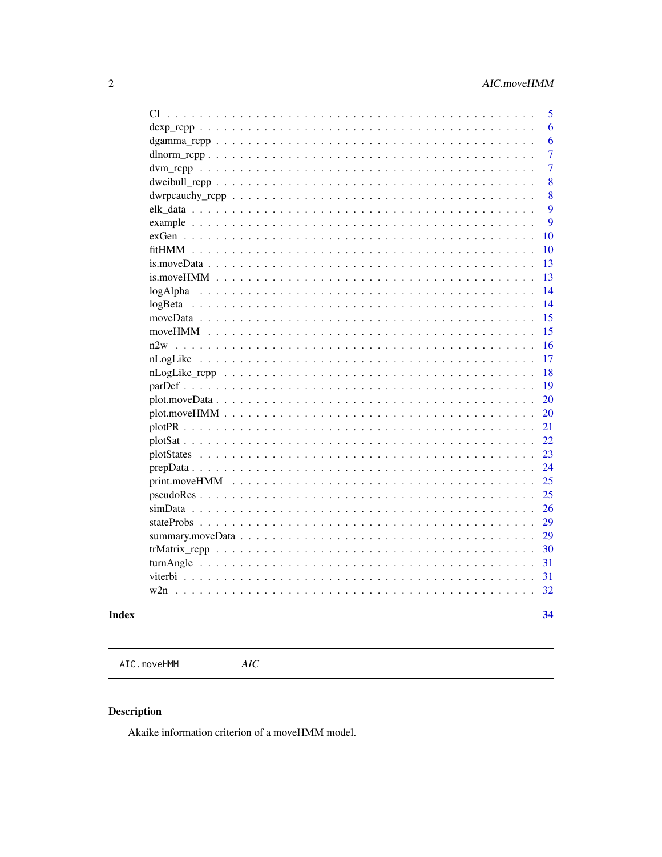<span id="page-1-0"></span>

|          |                      | 5              |
|----------|----------------------|----------------|
|          |                      | 6              |
|          |                      | 6              |
|          |                      | 7              |
|          |                      | $\overline{7}$ |
|          |                      | 8              |
|          |                      | 8              |
|          |                      | 9              |
|          |                      | 9              |
|          |                      | 10             |
|          |                      | 10             |
|          |                      | 13             |
|          |                      | 13             |
| logAlpha |                      | 14             |
|          |                      | 14             |
|          |                      | 15             |
|          |                      | 15             |
|          |                      | 16             |
|          |                      | 17             |
|          |                      | 18             |
|          |                      | 19             |
|          |                      | 20             |
|          |                      | 20             |
|          |                      | 21             |
|          |                      | 22             |
|          |                      | 23             |
|          |                      | 24             |
|          |                      | 25             |
|          |                      | 25             |
|          |                      | 26             |
|          |                      | 29             |
|          |                      | 29             |
|          |                      | 30             |
|          |                      | 31             |
|          |                      | 31             |
| w2n      | $\ddot{\phantom{0}}$ | 32             |
|          |                      |                |
|          |                      | 34             |

### **Index**

AIC.moveHMM

 $AIC$ 

### $\begin{minipage}{.4\linewidth} \textbf{Description} \end{minipage} \vspace{-0.3mm}$

Akaike information criterion of a moveHMM model.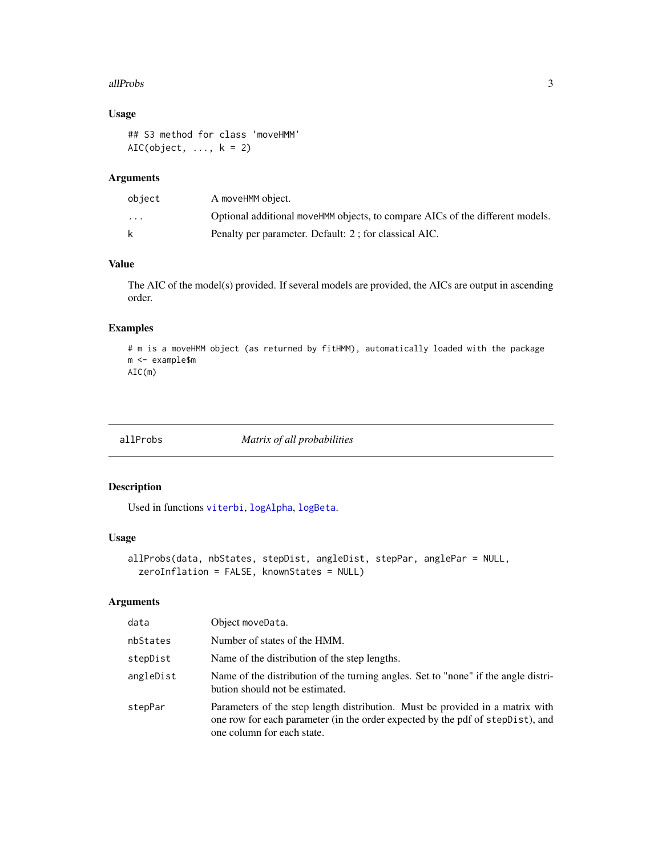#### <span id="page-2-0"></span>allProbs 3

### Usage

```
## S3 method for class 'moveHMM'
AIC(object, \dots, k = 2)
```
### Arguments

| object                  | A moveHMM object.                                                             |
|-------------------------|-------------------------------------------------------------------------------|
| $\cdot$ $\cdot$ $\cdot$ | Optional additional moveHMM objects, to compare AICs of the different models. |
| k                       | Penalty per parameter. Default: 2; for classical AIC.                         |

### Value

The AIC of the model(s) provided. If several models are provided, the AICs are output in ascending order.

### Examples

```
# m is a moveHMM object (as returned by fitHMM), automatically loaded with the package
m <- example$m
AIC(m)
```
allProbs *Matrix of all probabilities*

### Description

Used in functions [viterbi](#page-30-1), [logAlpha](#page-13-1), [logBeta](#page-13-2).

### Usage

```
allProbs(data, nbStates, stepDist, angleDist, stepPar, anglePar = NULL,
  zeroInflation = FALSE, knownStates = NULL)
```

| data      | Object moveData.                                                                                                                                                                              |
|-----------|-----------------------------------------------------------------------------------------------------------------------------------------------------------------------------------------------|
| nbStates  | Number of states of the HMM.                                                                                                                                                                  |
| stepDist  | Name of the distribution of the step lengths.                                                                                                                                                 |
| angleDist | Name of the distribution of the turning angles. Set to "none" if the angle distri-<br>bution should not be estimated.                                                                         |
| stepPar   | Parameters of the step length distribution. Must be provided in a matrix with<br>one row for each parameter (in the order expected by the pdf of stepDist), and<br>one column for each state. |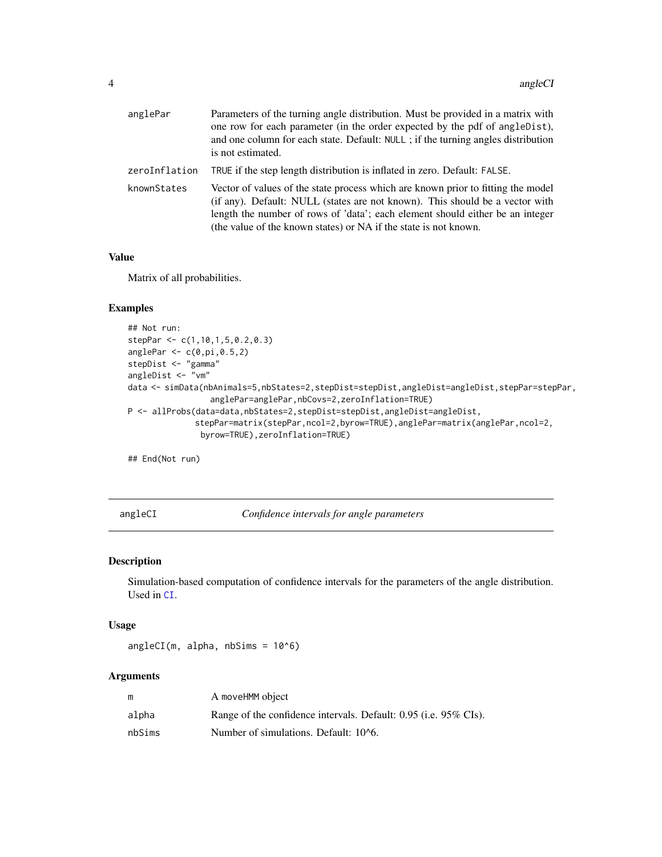<span id="page-3-0"></span>

| anglePar      | Parameters of the turning angle distribution. Must be provided in a matrix with<br>one row for each parameter (in the order expected by the pdf of angleDist),<br>and one column for each state. Default: NULL; if the turning angles distribution<br>is not estimated.                                               |
|---------------|-----------------------------------------------------------------------------------------------------------------------------------------------------------------------------------------------------------------------------------------------------------------------------------------------------------------------|
| zeroInflation | TRUE if the step length distribution is inflated in zero. Default: FALSE.                                                                                                                                                                                                                                             |
| knownStates   | Vector of values of the state process which are known prior to fitting the model<br>(if any). Default: NULL (states are not known). This should be a vector with<br>length the number of rows of 'data'; each element should either be an integer<br>(the value of the known states) or NA if the state is not known. |

#### Value

Matrix of all probabilities.

#### Examples

```
## Not run:
stepPar <- c(1,10,1,5,0.2,0.3)
anglePar < c(0, pi, 0.5, 2)stepDist <- "gamma"
angleDist <- "vm"
data <- simData(nbAnimals=5,nbStates=2,stepDist=stepDist,angleDist=angleDist,stepPar=stepPar,
                 anglePar=anglePar,nbCovs=2,zeroInflation=TRUE)
P <- allProbs(data=data,nbStates=2,stepDist=stepDist,angleDist=angleDist,
              stepPar=matrix(stepPar,ncol=2,byrow=TRUE),anglePar=matrix(anglePar,ncol=2,
               byrow=TRUE),zeroInflation=TRUE)
```
## End(Not run)

angleCI *Confidence intervals for angle parameters*

#### Description

Simulation-based computation of confidence intervals for the parameters of the angle distribution. Used in [CI](#page-4-1).

#### Usage

angleCI(m, alpha, nbSims = 10^6)

|        | A moveHMM object                                                 |
|--------|------------------------------------------------------------------|
| alpha  | Range of the confidence intervals. Default: 0.95 (i.e. 95% CIs). |
| nbSims | Number of simulations. Default: 10^6.                            |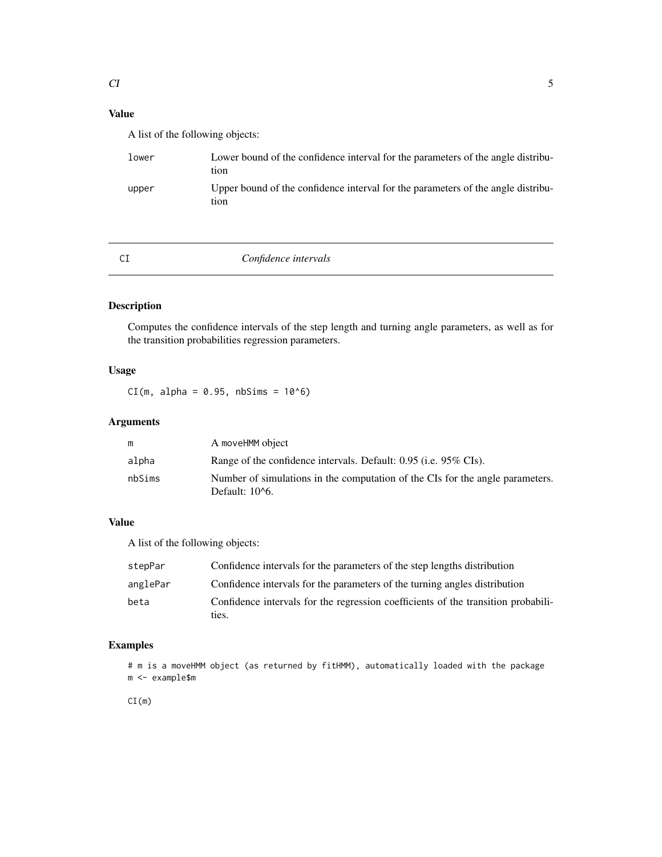### <span id="page-4-0"></span>Value

A list of the following objects:

| lower | Lower bound of the confidence interval for the parameters of the angle distribu-<br>tion |
|-------|------------------------------------------------------------------------------------------|
| upper | Upper bound of the confidence interval for the parameters of the angle distribu-<br>tion |

<span id="page-4-1"></span>

### CI *Confidence intervals*

### Description

Computes the confidence intervals of the step length and turning angle parameters, as well as for the transition probabilities regression parameters.

### Usage

 $CI(m, alpha = 0.95, nbSims = 10<sup>0</sup>6)$ 

### Arguments

|        | A moveHMM object                                                                                  |
|--------|---------------------------------------------------------------------------------------------------|
| alpha  | Range of the confidence intervals. Default: 0.95 (i.e. 95% CIs).                                  |
| nbSims | Number of simulations in the computation of the CIs for the angle parameters.<br>Default: $106$ . |

### Value

A list of the following objects:

| stepPar  | Confidence intervals for the parameters of the step lengths distribution                   |
|----------|--------------------------------------------------------------------------------------------|
| anglePar | Confidence intervals for the parameters of the turning angles distribution                 |
| beta     | Confidence intervals for the regression coefficients of the transition probabili-<br>ties. |

### Examples

# m is a moveHMM object (as returned by fitHMM), automatically loaded with the package m <- example\$m

CI(m)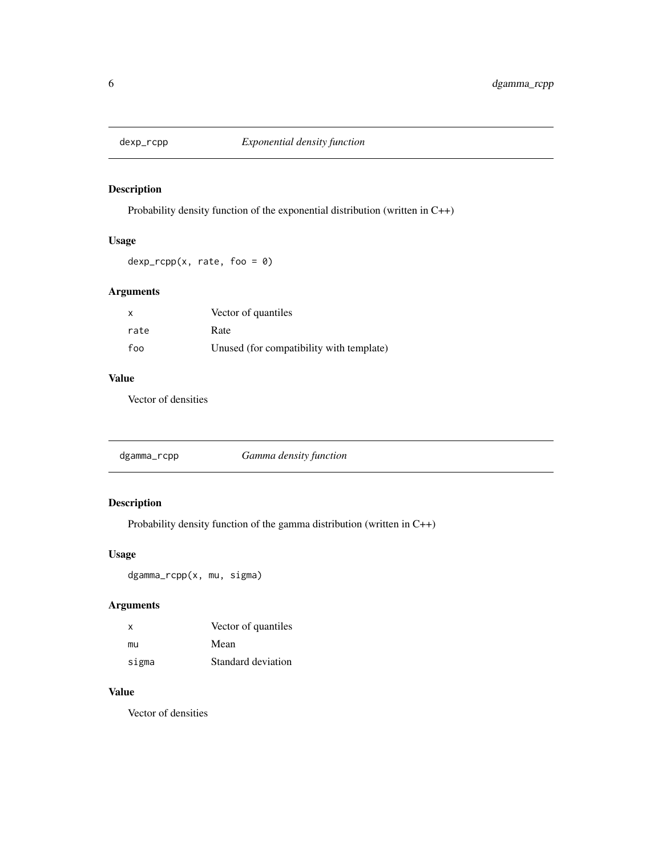<span id="page-5-0"></span>

Probability density function of the exponential distribution (written in C++)

### Usage

 $dexp_{r}cpp(x, rate, foo = 0)$ 

### Arguments

| $\mathsf{x}$ | Vector of quantiles                      |
|--------------|------------------------------------------|
| rate         | Rate                                     |
| foo          | Unused (for compatibility with template) |

### Value

Vector of densities

|  | dgamma_rcpp |  |
|--|-------------|--|
|--|-------------|--|

### Description

Probability density function of the gamma distribution (written in C++)

### Usage

dgamma\_rcpp(x, mu, sigma)

### Arguments

| X     | Vector of quantiles |
|-------|---------------------|
| mu    | Mean                |
| sigma | Standard deviation  |

### Value

Vector of densities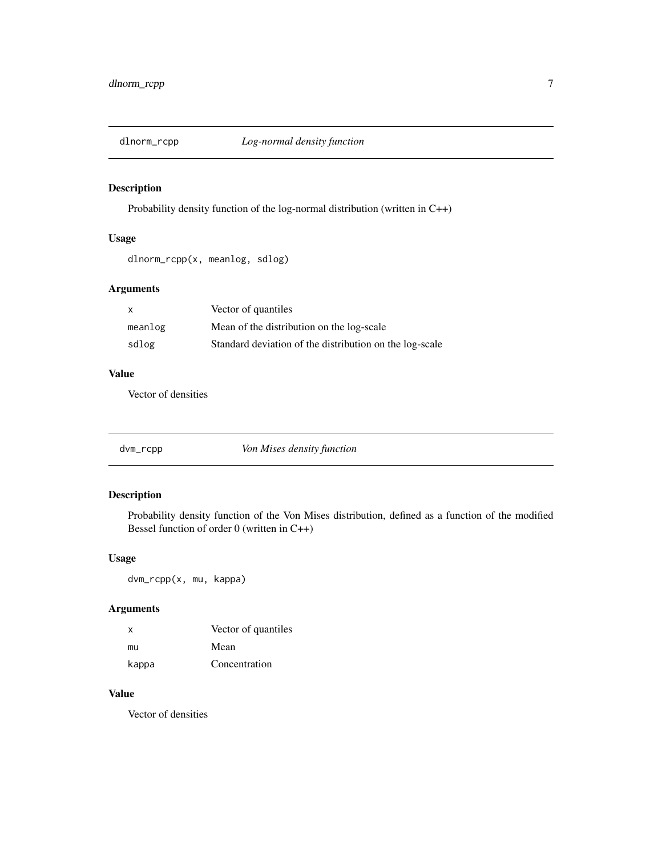<span id="page-6-0"></span>

Probability density function of the log-normal distribution (written in C++)

### Usage

dlnorm\_rcpp(x, meanlog, sdlog)

### Arguments

| X       | Vector of quantiles                                     |
|---------|---------------------------------------------------------|
| meanlog | Mean of the distribution on the log-scale               |
| sdlog   | Standard deviation of the distribution on the log-scale |

#### Value

Vector of densities

dvm\_rcpp *Von Mises density function*

### Description

Probability density function of the Von Mises distribution, defined as a function of the modified Bessel function of order 0 (written in C++)

### Usage

dvm\_rcpp(x, mu, kappa)

#### Arguments

| x     | Vector of quantiles |
|-------|---------------------|
| mu    | Mean                |
| kappa | Concentration       |

### Value

Vector of densities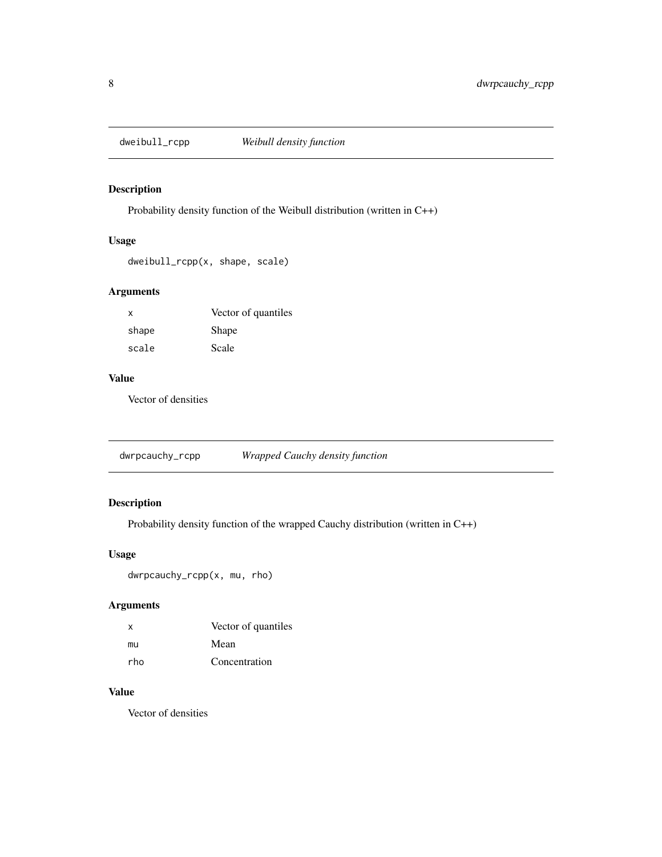<span id="page-7-0"></span>

Probability density function of the Weibull distribution (written in C++)

### Usage

dweibull\_rcpp(x, shape, scale)

### Arguments

| X     | Vector of quantiles |
|-------|---------------------|
| shape | Shape               |
| scale | Scale               |

### Value

Vector of densities

dwrpcauchy\_rcpp *Wrapped Cauchy density function*

### Description

Probability density function of the wrapped Cauchy distribution (written in C++)

#### Usage

dwrpcauchy\_rcpp(x, mu, rho)

### Arguments

| $\mathsf{x}$ | Vector of quantiles |
|--------------|---------------------|
| mu           | Mean                |
| rho          | Concentration       |

### Value

Vector of densities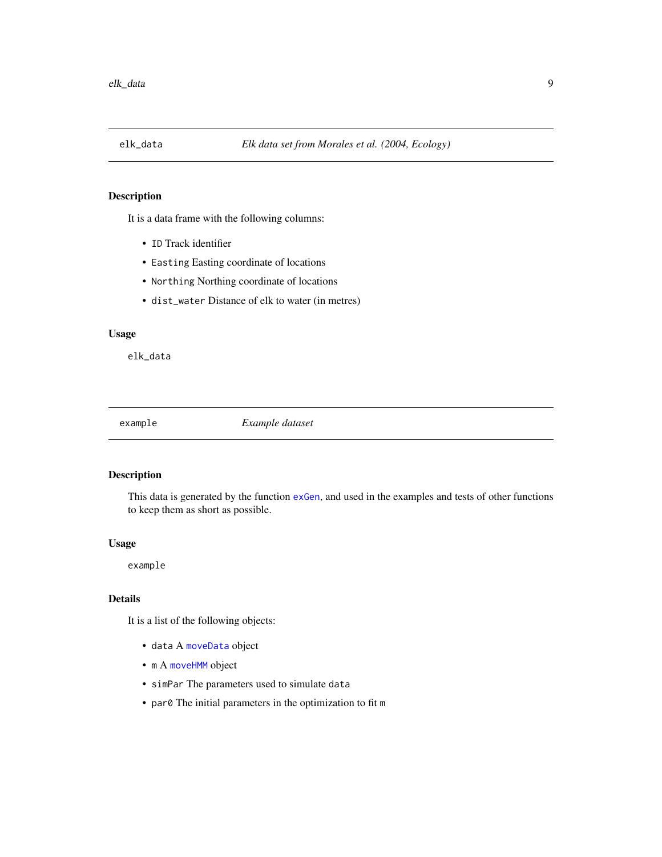<span id="page-8-0"></span>

It is a data frame with the following columns:

- ID Track identifier
- Easting Easting coordinate of locations
- Northing Northing coordinate of locations
- dist\_water Distance of elk to water (in metres)

### Usage

elk\_data

example *Example dataset*

### Description

This data is generated by the function [exGen](#page-9-1), and used in the examples and tests of other functions to keep them as short as possible.

#### Usage

example

#### Details

It is a list of the following objects:

- data A [moveData](#page-14-1) object
- m A [moveHMM](#page-14-2) object
- simPar The parameters used to simulate data
- par0 The initial parameters in the optimization to fit m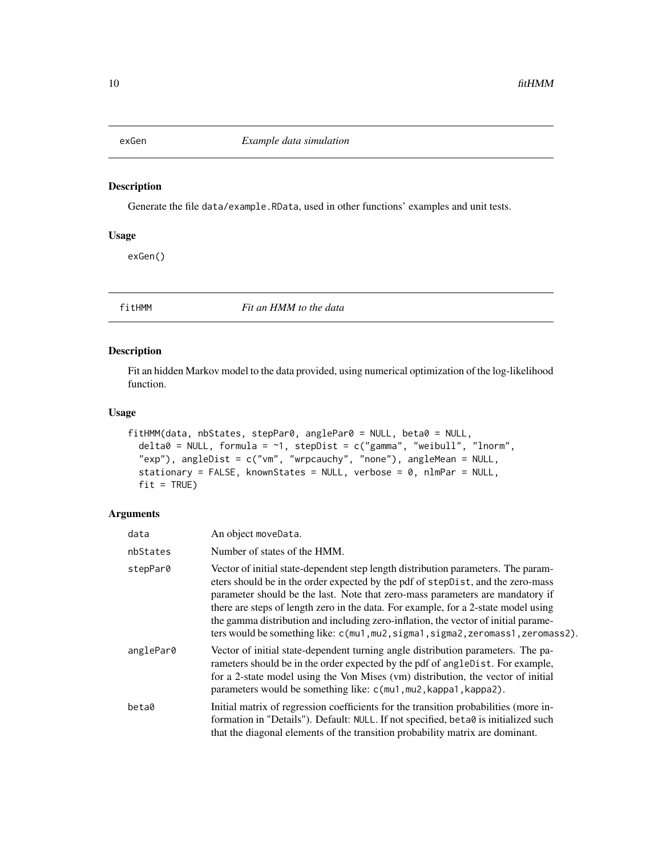<span id="page-9-1"></span><span id="page-9-0"></span>

Generate the file data/example.RData, used in other functions' examples and unit tests.

#### Usage

exGen()

<span id="page-9-2"></span>fitHMM *Fit an HMM to the data*

### Description

Fit an hidden Markov model to the data provided, using numerical optimization of the log-likelihood function.

#### Usage

```
fitHMM(data, nbStates, stepPar0, anglePar0 = NULL, beta0 = NULL,
 delta0 = NULL, formula = \sim1, stepDist = c("gamma", "weibull", "lnorm",
  "exp"), angleDist = c("vm", "wrpcauchy", "none"), angleMean = NULL,stationary = FALSE, knownStates = NULL, verbose = 0, nlmPar = NULL,
 fit = TRUE)
```

| data      | An object moveData.                                                                                                                                                                                                                                                                                                                                                                                                                                                                                                      |
|-----------|--------------------------------------------------------------------------------------------------------------------------------------------------------------------------------------------------------------------------------------------------------------------------------------------------------------------------------------------------------------------------------------------------------------------------------------------------------------------------------------------------------------------------|
| nbStates  | Number of states of the HMM.                                                                                                                                                                                                                                                                                                                                                                                                                                                                                             |
| stepPar0  | Vector of initial state-dependent step length distribution parameters. The param-<br>eters should be in the order expected by the pdf of stepDist, and the zero-mass<br>parameter should be the last. Note that zero-mass parameters are mandatory if<br>there are steps of length zero in the data. For example, for a 2-state model using<br>the gamma distribution and including zero-inflation, the vector of initial parame-<br>ters would be something like: $c$ (mu1, mu2, sigma1, sigma2, zeromass1, zeromass2). |
| anglePar0 | Vector of initial state-dependent turning angle distribution parameters. The pa-<br>rameters should be in the order expected by the pdf of angleDist. For example,<br>for a 2-state model using the Von Mises (vm) distribution, the vector of initial<br>parameters would be something like: c(mu1, mu2, kappa1, kappa2).                                                                                                                                                                                               |
| beta0     | Initial matrix of regression coefficients for the transition probabilities (more in-<br>formation in "Details"). Default: NULL. If not specified, beta0 is initialized such<br>that the diagonal elements of the transition probability matrix are dominant.                                                                                                                                                                                                                                                             |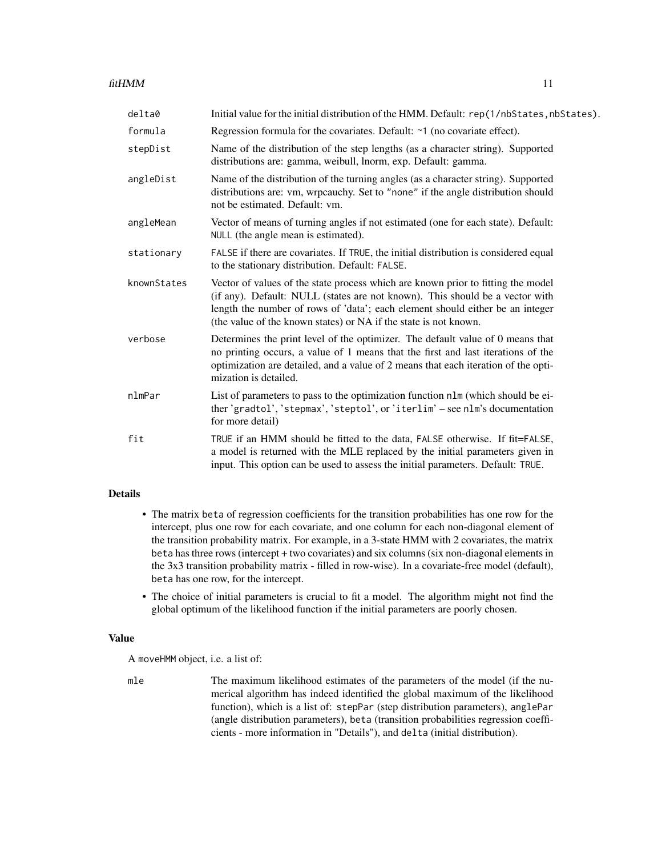| delta0      | Initial value for the initial distribution of the HMM. Default: rep(1/nbStates, nbStates).                                                                                                                                                                                                                            |
|-------------|-----------------------------------------------------------------------------------------------------------------------------------------------------------------------------------------------------------------------------------------------------------------------------------------------------------------------|
| formula     | Regression formula for the covariates. Default: ~1 (no covariate effect).                                                                                                                                                                                                                                             |
| stepDist    | Name of the distribution of the step lengths (as a character string). Supported<br>distributions are: gamma, weibull, lnorm, exp. Default: gamma.                                                                                                                                                                     |
| angleDist   | Name of the distribution of the turning angles (as a character string). Supported<br>distributions are: vm, wrpcauchy. Set to "none" if the angle distribution should<br>not be estimated. Default: vm.                                                                                                               |
| angleMean   | Vector of means of turning angles if not estimated (one for each state). Default:<br>NULL (the angle mean is estimated).                                                                                                                                                                                              |
| stationary  | FALSE if there are covariates. If TRUE, the initial distribution is considered equal<br>to the stationary distribution. Default: FALSE.                                                                                                                                                                               |
| knownStates | Vector of values of the state process which are known prior to fitting the model<br>(if any). Default: NULL (states are not known). This should be a vector with<br>length the number of rows of 'data'; each element should either be an integer<br>(the value of the known states) or NA if the state is not known. |
| verbose     | Determines the print level of the optimizer. The default value of 0 means that<br>no printing occurs, a value of 1 means that the first and last iterations of the<br>optimization are detailed, and a value of 2 means that each iteration of the opti-<br>mization is detailed.                                     |
| nlmPar      | List of parameters to pass to the optimization function nlm (which should be ei-<br>ther 'gradtol', 'stepmax', 'steptol', or 'iterlim' - see nlm's documentation<br>for more detail)                                                                                                                                  |
| fit         | TRUE if an HMM should be fitted to the data, FALSE otherwise. If fit=FALSE,<br>a model is returned with the MLE replaced by the initial parameters given in<br>input. This option can be used to assess the initial parameters. Default: TRUE.                                                                        |
|             |                                                                                                                                                                                                                                                                                                                       |

### Details

- The matrix beta of regression coefficients for the transition probabilities has one row for the intercept, plus one row for each covariate, and one column for each non-diagonal element of the transition probability matrix. For example, in a 3-state HMM with 2 covariates, the matrix beta has three rows (intercept + two covariates) and six columns (six non-diagonal elements in the 3x3 transition probability matrix - filled in row-wise). In a covariate-free model (default), beta has one row, for the intercept.
- The choice of initial parameters is crucial to fit a model. The algorithm might not find the global optimum of the likelihood function if the initial parameters are poorly chosen.

#### Value

A moveHMM object, i.e. a list of:

mle The maximum likelihood estimates of the parameters of the model (if the numerical algorithm has indeed identified the global maximum of the likelihood function), which is a list of: stepPar (step distribution parameters), anglePar (angle distribution parameters), beta (transition probabilities regression coefficients - more information in "Details"), and delta (initial distribution).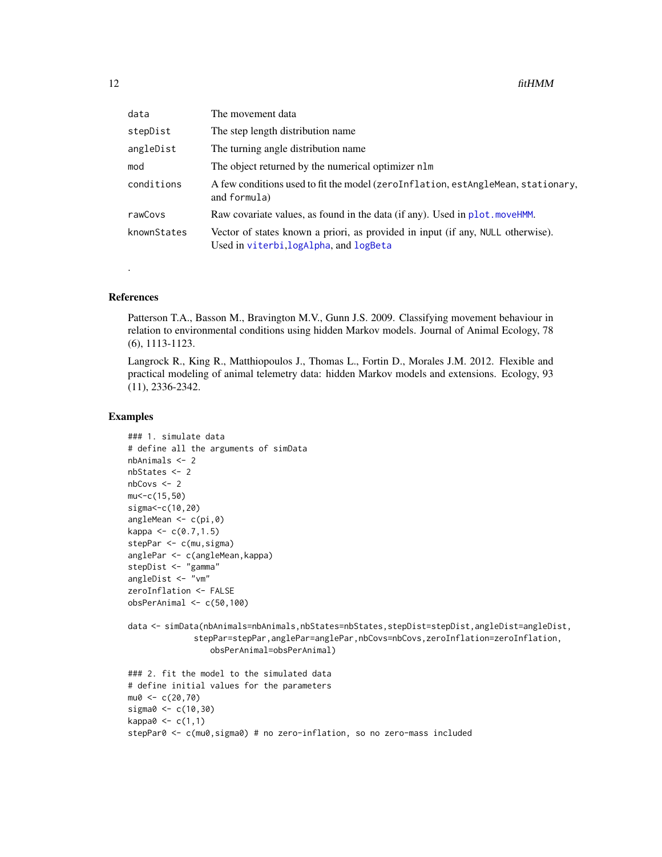<span id="page-11-0"></span>

| data        | The movement data                                                                                                         |
|-------------|---------------------------------------------------------------------------------------------------------------------------|
| stepDist    | The step length distribution name.                                                                                        |
| angleDist   | The turning angle distribution name.                                                                                      |
| mod         | The object returned by the numerical optimizer nlm                                                                        |
| conditions  | A few conditions used to fit the model (zeroInflation, estAngleMean, stationary,<br>and formula)                          |
| rawCovs     | Raw covariate values, as found in the data (if any). Used in plot moveHMM.                                                |
| knownStates | Vector of states known a priori, as provided in input (if any, NULL otherwise).<br>Used in viterbi, logAlpha, and logBeta |

#### References

.

Patterson T.A., Basson M., Bravington M.V., Gunn J.S. 2009. Classifying movement behaviour in relation to environmental conditions using hidden Markov models. Journal of Animal Ecology, 78 (6), 1113-1123.

Langrock R., King R., Matthiopoulos J., Thomas L., Fortin D., Morales J.M. 2012. Flexible and practical modeling of animal telemetry data: hidden Markov models and extensions. Ecology, 93 (11), 2336-2342.

#### Examples

```
### 1. simulate data
# define all the arguments of simData
nbAnimals <- 2
nbStates <- 2
nbCovs <- 2
mu<-c(15,50)
sigma<-c(10,20)
angleMean <- c(pi,0)
kappa < -c(0.7, 1.5)stepPar <- c(mu, sigma)
anglePar <- c(angleMean,kappa)
stepDist <- "gamma"
angleDist <- "vm"
zeroInflation <- FALSE
obsPerAnimal <- c(50,100)
data <- simData(nbAnimals=nbAnimals,nbStates=nbStates,stepDist=stepDist,angleDist=angleDist,
              stepPar=stepPar,anglePar=anglePar,nbCovs=nbCovs,zeroInflation=zeroInflation,
                 obsPerAnimal=obsPerAnimal)
```

```
### 2. fit the model to the simulated data
# define initial values for the parameters
mu0 < -c(20, 70)sigma0 <- c(10,30)
kappa0 \leq c(1,1)stepPar0 <- c(mu0,sigma0) # no zero-inflation, so no zero-mass included
```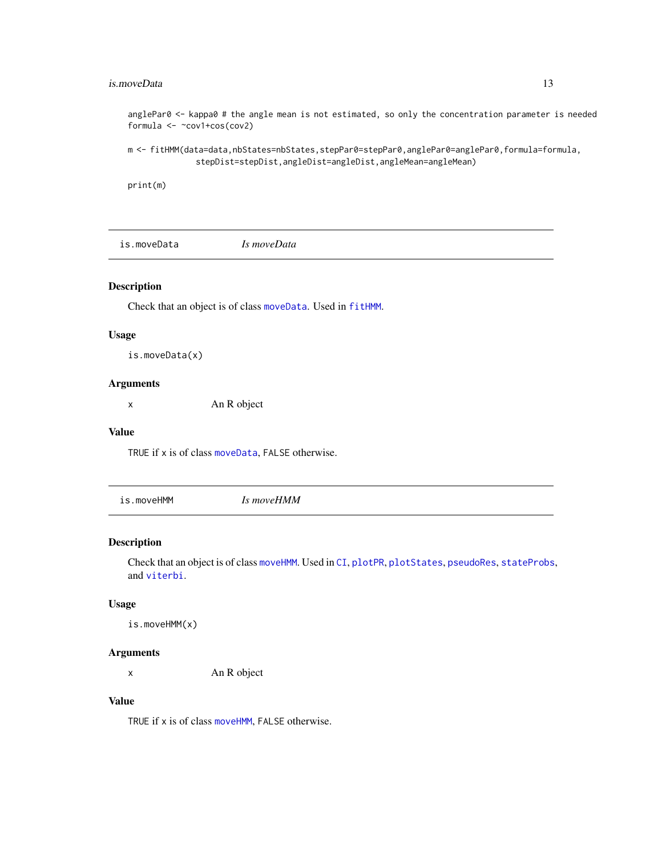#### <span id="page-12-0"></span>is.moveData 13

anglePar0 <- kappa0 # the angle mean is not estimated, so only the concentration parameter is needed formula <- ~cov1+cos(cov2)

m <- fitHMM(data=data,nbStates=nbStates,stepPar0=stepPar0,anglePar0=anglePar0,formula=formula, stepDist=stepDist,angleDist=angleDist,angleMean=angleMean)

print(m)

is.moveData *Is moveData*

#### Description

Check that an object is of class [moveData](#page-14-1). Used in [fitHMM](#page-9-2).

### Usage

is.moveData(x)

### Arguments

x An R object

#### Value

TRUE if x is of class [moveData](#page-14-1), FALSE otherwise.

is.moveHMM *Is moveHMM*

#### Description

Check that an object is of class [moveHMM](#page-14-2). Used in [CI](#page-4-1), [plotPR](#page-20-1), [plotStates](#page-22-1), [pseudoRes](#page-24-1), [stateProbs](#page-28-1), and [viterbi](#page-30-1).

### Usage

```
is.moveHMM(x)
```
#### Arguments

x An R object

### Value

TRUE if x is of class [moveHMM](#page-14-2), FALSE otherwise.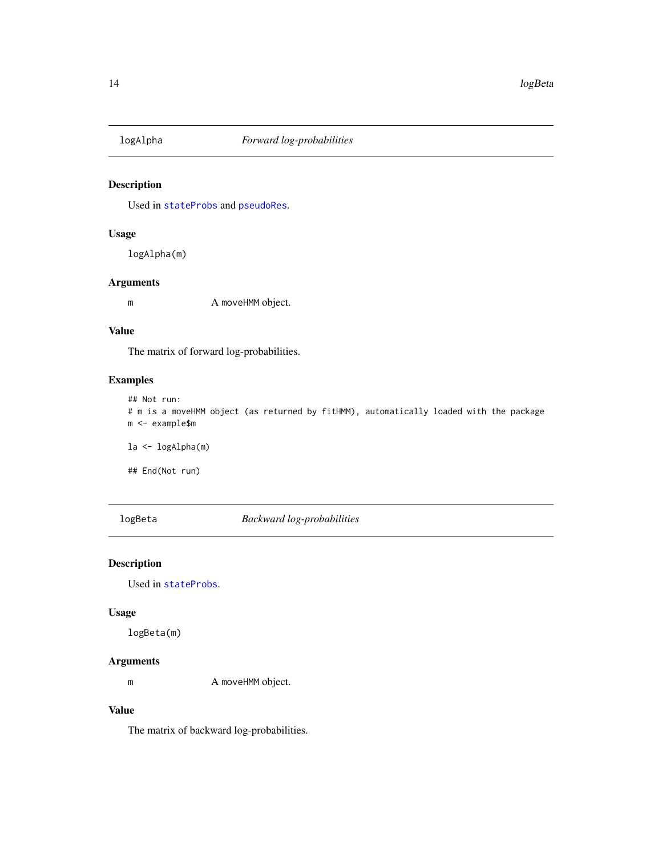<span id="page-13-1"></span><span id="page-13-0"></span>

Used in [stateProbs](#page-28-1) and [pseudoRes](#page-24-1).

### Usage

logAlpha(m)

#### Arguments

m A moveHMM object.

#### Value

The matrix of forward log-probabilities.

### Examples

## Not run:

```
# m is a moveHMM object (as returned by fitHMM), automatically loaded with the package
m <- example$m
```
la <- logAlpha(m)

## End(Not run)

<span id="page-13-2"></span>logBeta *Backward log-probabilities*

### Description

Used in [stateProbs](#page-28-1).

### Usage

logBeta(m)

### Arguments

m A moveHMM object.

### Value

The matrix of backward log-probabilities.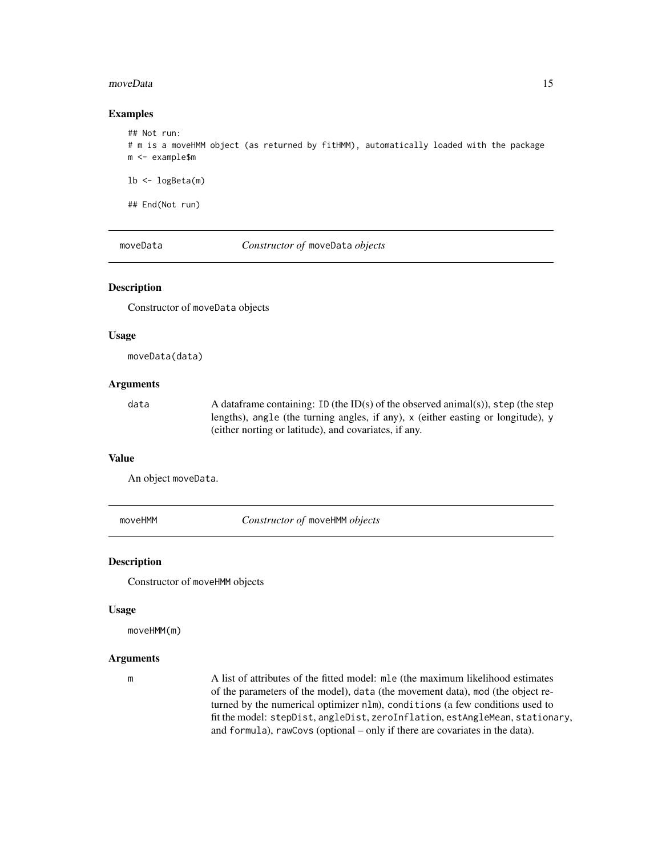#### <span id="page-14-0"></span>moveData 15

#### Examples

```
## Not run:
# m is a moveHMM object (as returned by fitHMM), automatically loaded with the package
m <- example$m
lb \leftarrow logBeta(m)
```
## End(Not run)

<span id="page-14-1"></span>moveData *Constructor of* moveData *objects*

### Description

Constructor of moveData objects

#### Usage

moveData(data)

#### Arguments

data A dataframe containing: ID (the ID(s) of the observed animal(s)), step (the step lengths), angle (the turning angles, if any), x (either easting or longitude), y (either norting or latitude), and covariates, if any.

### Value

An object moveData.

<span id="page-14-2"></span>moveHMM *Constructor of* moveHMM *objects*

#### Description

Constructor of moveHMM objects

#### Usage

moveHMM(m)

#### Arguments

m A list of attributes of the fitted model: mle (the maximum likelihood estimates of the parameters of the model), data (the movement data), mod (the object returned by the numerical optimizer nlm), conditions (a few conditions used to fit the model: stepDist, angleDist, zeroInflation, estAngleMean, stationary, and formula), rawCovs (optional – only if there are covariates in the data).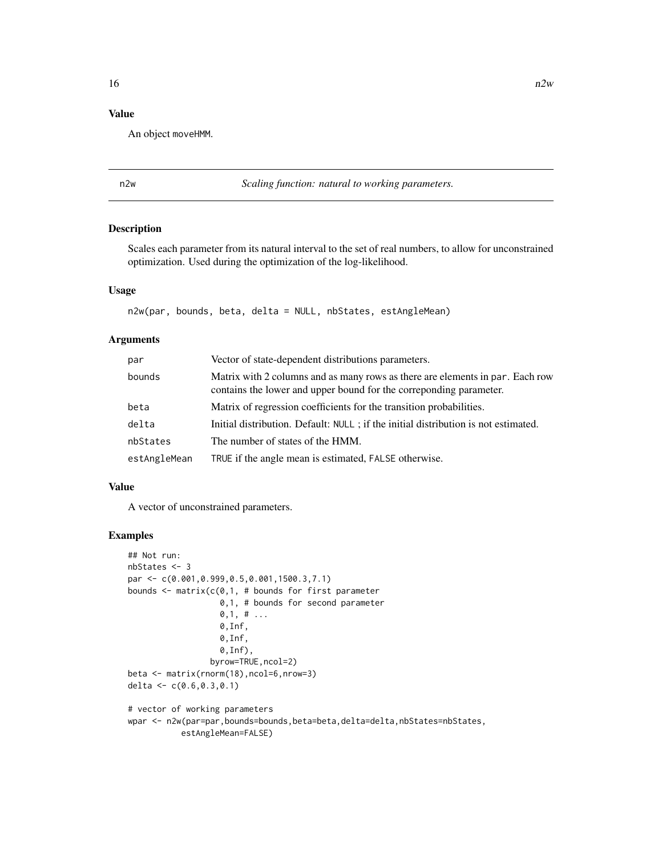#### <span id="page-15-0"></span>Value

An object moveHMM.

n2w *Scaling function: natural to working parameters.*

#### Description

Scales each parameter from its natural interval to the set of real numbers, to allow for unconstrained optimization. Used during the optimization of the log-likelihood.

#### Usage

n2w(par, bounds, beta, delta = NULL, nbStates, estAngleMean)

### Arguments

| par          | Vector of state-dependent distributions parameters.                                                                                                  |
|--------------|------------------------------------------------------------------------------------------------------------------------------------------------------|
| bounds       | Matrix with 2 columns and as many rows as there are elements in par. Each row<br>contains the lower and upper bound for the corresponding parameter. |
| beta         | Matrix of regression coefficients for the transition probabilities.                                                                                  |
| delta        | Initial distribution. Default: NULL; if the initial distribution is not estimated.                                                                   |
| nbStates     | The number of states of the HMM.                                                                                                                     |
| estAngleMean | TRUE if the angle mean is estimated, FALSE otherwise.                                                                                                |

#### Value

A vector of unconstrained parameters.

#### Examples

```
## Not run:
nbStates <- 3
par <- c(0.001,0.999,0.5,0.001,1500.3,7.1)
bounds \leq matrix(c(0,1, # bounds for first parameter
                   0,1, # bounds for second parameter
                   0,1, # \ldots0,Inf,
                   0,Inf,
                   0,Inf),
                 byrow=TRUE,ncol=2)
beta <- matrix(rnorm(18),ncol=6,nrow=3)
delta <- c(0.6,0.3,0.1)
# vector of working parameters
wpar <- n2w(par=par,bounds=bounds,beta=beta,delta=delta,nbStates=nbStates,
           estAngleMean=FALSE)
```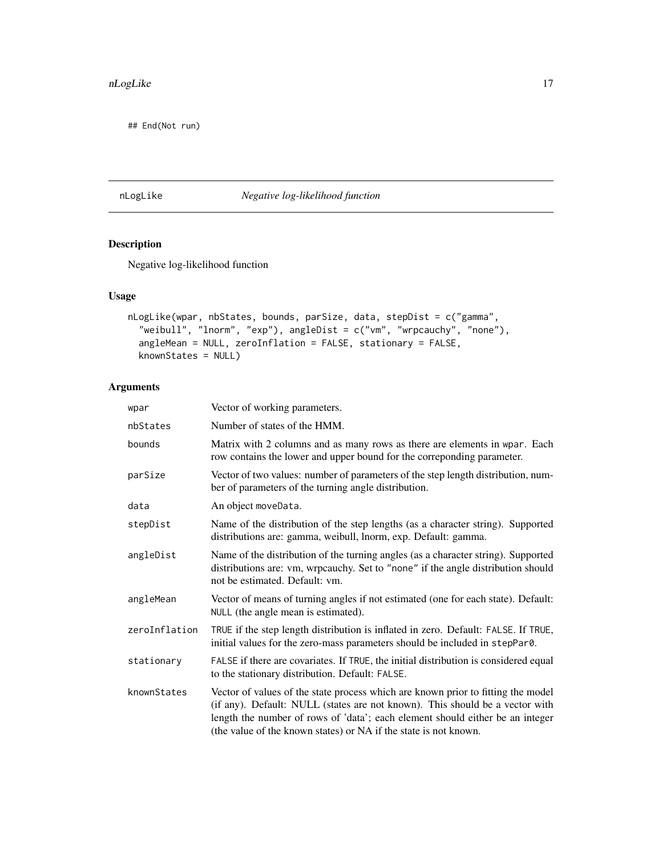<span id="page-16-0"></span>## End(Not run)

nLogLike *Negative log-likelihood function*

### Description

Negative log-likelihood function

### Usage

```
nLogLike(wpar, nbStates, bounds, parSize, data, stepDist = c("gamma",
  "weibull", "lnorm", "exp"), angleDist = c("vm", "wrpcauchy", "none"),
  angleMean = NULL, zeroInflation = FALSE, stationary = FALSE,
 knownStates = NULL)
```

| wpar          | Vector of working parameters.                                                                                                                                                                                                                                                                                         |
|---------------|-----------------------------------------------------------------------------------------------------------------------------------------------------------------------------------------------------------------------------------------------------------------------------------------------------------------------|
| nbStates      | Number of states of the HMM.                                                                                                                                                                                                                                                                                          |
| bounds        | Matrix with 2 columns and as many rows as there are elements in wpar. Each<br>row contains the lower and upper bound for the correponding parameter.                                                                                                                                                                  |
| parSize       | Vector of two values: number of parameters of the step length distribution, num-<br>ber of parameters of the turning angle distribution.                                                                                                                                                                              |
| data          | An object moveData.                                                                                                                                                                                                                                                                                                   |
| stepDist      | Name of the distribution of the step lengths (as a character string). Supported<br>distributions are: gamma, weibull, lnorm, exp. Default: gamma.                                                                                                                                                                     |
| angleDist     | Name of the distribution of the turning angles (as a character string). Supported<br>distributions are: vm, wrpcauchy. Set to "none" if the angle distribution should<br>not be estimated. Default: ym.                                                                                                               |
| angleMean     | Vector of means of turning angles if not estimated (one for each state). Default:<br>NULL (the angle mean is estimated).                                                                                                                                                                                              |
| zeroInflation | TRUE if the step length distribution is inflated in zero. Default: FALSE. If TRUE,<br>initial values for the zero-mass parameters should be included in stepPar0.                                                                                                                                                     |
| stationary    | FALSE if there are covariates. If TRUE, the initial distribution is considered equal<br>to the stationary distribution. Default: FALSE.                                                                                                                                                                               |
| knownStates   | Vector of values of the state process which are known prior to fitting the model<br>(if any). Default: NULL (states are not known). This should be a vector with<br>length the number of rows of 'data'; each element should either be an integer<br>(the value of the known states) or NA if the state is not known. |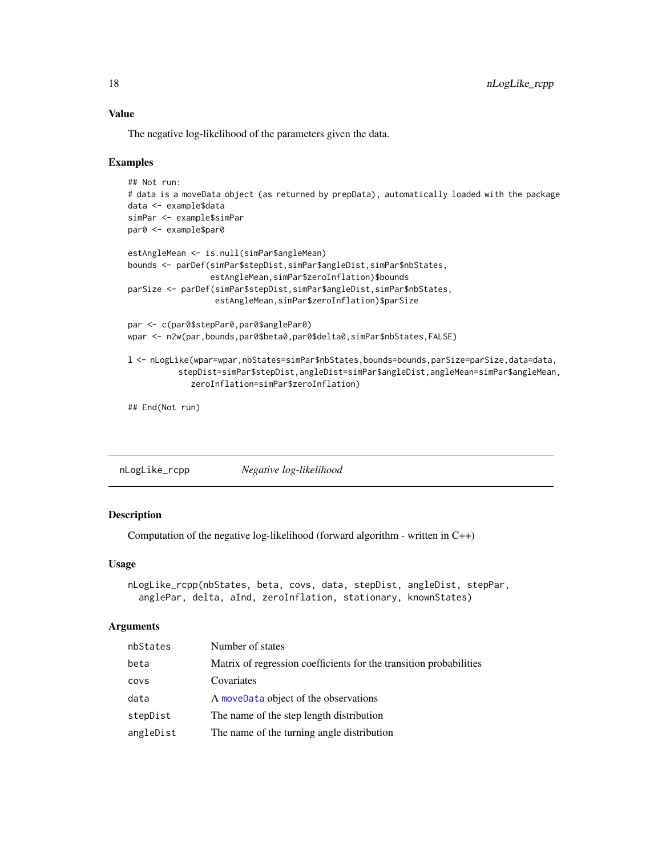### Value

The negative log-likelihood of the parameters given the data.

#### Examples

```
## Not run:
# data is a moveData object (as returned by prepData), automatically loaded with the package
data <- example$data
simPar <- example$simPar
par0 <- example$par0
estAngleMean <- is.null(simPar$angleMean)
bounds <- parDef(simPar$stepDist,simPar$angleDist,simPar$nbStates,
                 estAngleMean,simPar$zeroInflation)$bounds
parSize <- parDef(simPar$stepDist,simPar$angleDist,simPar$nbStates,
                  estAngleMean,simPar$zeroInflation)$parSize
par <- c(par0$stepPar0,par0$anglePar0)
wpar <- n2w(par,bounds,par0$beta0,par0$delta0,simPar$nbStates,FALSE)
l <- nLogLike(wpar=wpar,nbStates=simPar$nbStates,bounds=bounds,parSize=parSize,data=data,
          stepDist=simPar$stepDist,angleDist=simPar$angleDist,angleMean=simPar$angleMean,
             zeroInflation=simPar$zeroInflation)
## End(Not run)
```

| nLogLike_rcpp | Negative log-likelihood |
|---------------|-------------------------|
|               |                         |

#### Description

Computation of the negative log-likelihood (forward algorithm - written in C++)

#### Usage

```
nLogLike_rcpp(nbStates, beta, covs, data, stepDist, angleDist, stepPar,
  anglePar, delta, aInd, zeroInflation, stationary, knownStates)
```

| nbStates  | Number of states                                                   |
|-----------|--------------------------------------------------------------------|
| beta      | Matrix of regression coefficients for the transition probabilities |
| COVS      | Covariates                                                         |
| data      | A moveData object of the observations                              |
| stepDist  | The name of the step length distribution                           |
| angleDist | The name of the turning angle distribution                         |

<span id="page-17-0"></span>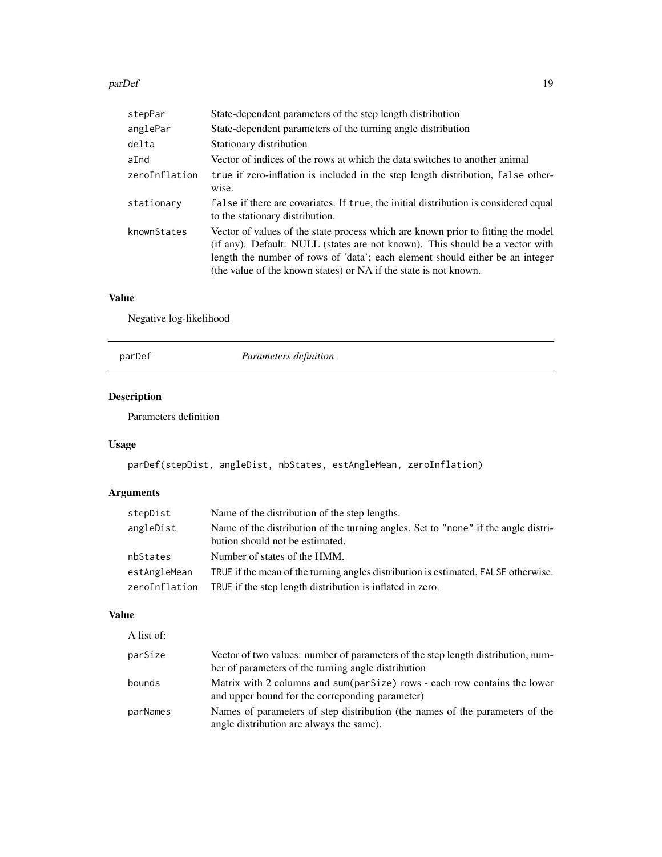#### <span id="page-18-0"></span>parDef 2012 2013 2014 2015 2016 2017 2018 2019 2017 2018 2019 2017 2018 2019 2017 2018 2019 2019 201

| stepPar       | State-dependent parameters of the step length distribution                                                                                                                                                                                                                                                            |
|---------------|-----------------------------------------------------------------------------------------------------------------------------------------------------------------------------------------------------------------------------------------------------------------------------------------------------------------------|
| anglePar      | State-dependent parameters of the turning angle distribution                                                                                                                                                                                                                                                          |
| delta         | Stationary distribution                                                                                                                                                                                                                                                                                               |
| aInd          | Vector of indices of the rows at which the data switches to another animal                                                                                                                                                                                                                                            |
| zeroInflation | true if zero-inflation is included in the step length distribution, false other-<br>wise.                                                                                                                                                                                                                             |
| stationary    | false if there are covariates. If true, the initial distribution is considered equal<br>to the stationary distribution.                                                                                                                                                                                               |
| knownStates   | Vector of values of the state process which are known prior to fitting the model<br>(if any). Default: NULL (states are not known). This should be a vector with<br>length the number of rows of 'data'; each element should either be an integer<br>(the value of the known states) or NA if the state is not known. |

### Value

Negative log-likelihood

parDef *Parameters definition*

### Description

Parameters definition

### Usage

parDef(stepDist, angleDist, nbStates, estAngleMean, zeroInflation)

### Arguments

| stepDist      | Name of the distribution of the step lengths.                                                                         |
|---------------|-----------------------------------------------------------------------------------------------------------------------|
| angleDist     | Name of the distribution of the turning angles. Set to "none" if the angle distri-<br>bution should not be estimated. |
| nbStates      | Number of states of the HMM.                                                                                          |
| estAngleMean  | TRUE if the mean of the turning angles distribution is estimated, FALSE otherwise.                                    |
| zeroInflation | TRUE if the step length distribution is inflated in zero.                                                             |

### Value

| A list of: |                                                                                                                                         |
|------------|-----------------------------------------------------------------------------------------------------------------------------------------|
| parSize    | Vector of two values: number of parameters of the step length distribution, num-<br>ber of parameters of the turning angle distribution |
| bounds     | Matrix with 2 columns and sum(parSize) rows - each row contains the lower<br>and upper bound for the corresponding parameter)           |
| parNames   | Names of parameters of step distribution (the names of the parameters of the<br>angle distribution are always the same).                |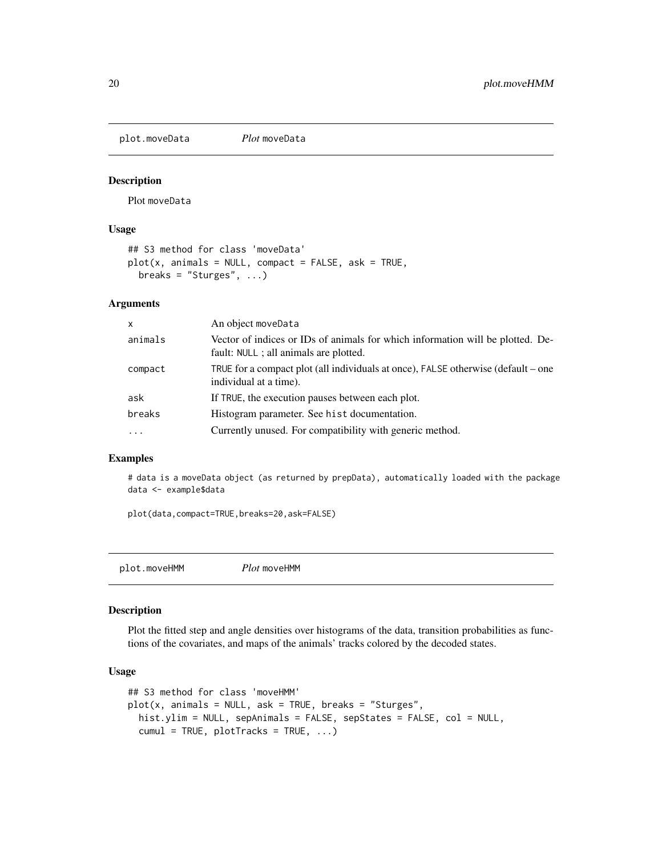<span id="page-19-0"></span>plot.moveData *Plot* moveData

#### Description

Plot moveData

#### Usage

```
## S3 method for class 'moveData'
plot(x, animals = NULL, compact = FALSE, ask = TRUE,breaks = "Sturges", ...)
```
### Arguments

| x        | An object moveData                                                                                                       |
|----------|--------------------------------------------------------------------------------------------------------------------------|
| animals  | Vector of indices or IDs of animals for which information will be plotted. De-<br>fault: NULL ; all animals are plotted. |
| compact  | TRUE for a compact plot (all individuals at once), FALSE otherwise (default – one<br>individual at a time).              |
| ask      | If TRUE, the execution pauses between each plot.                                                                         |
| breaks   | Histogram parameter. See hist documentation.                                                                             |
| $\ddots$ | Currently unused. For compatibility with generic method.                                                                 |

### Examples

# data is a moveData object (as returned by prepData), automatically loaded with the package data <- example\$data

plot(data,compact=TRUE,breaks=20,ask=FALSE)

```
plot.moveHMM Plot moveHMM
```
#### Description

Plot the fitted step and angle densities over histograms of the data, transition probabilities as functions of the covariates, and maps of the animals' tracks colored by the decoded states.

#### Usage

```
## S3 method for class 'moveHMM'
plot(x, animals = NULL, ask = TRUE, breaks = "Sturges",hist.ylim = NULL, sepAnimals = FALSE, sepStates = FALSE, col = NULL,
  cumul = TRUE, plotTracks = TRUE, ...)
```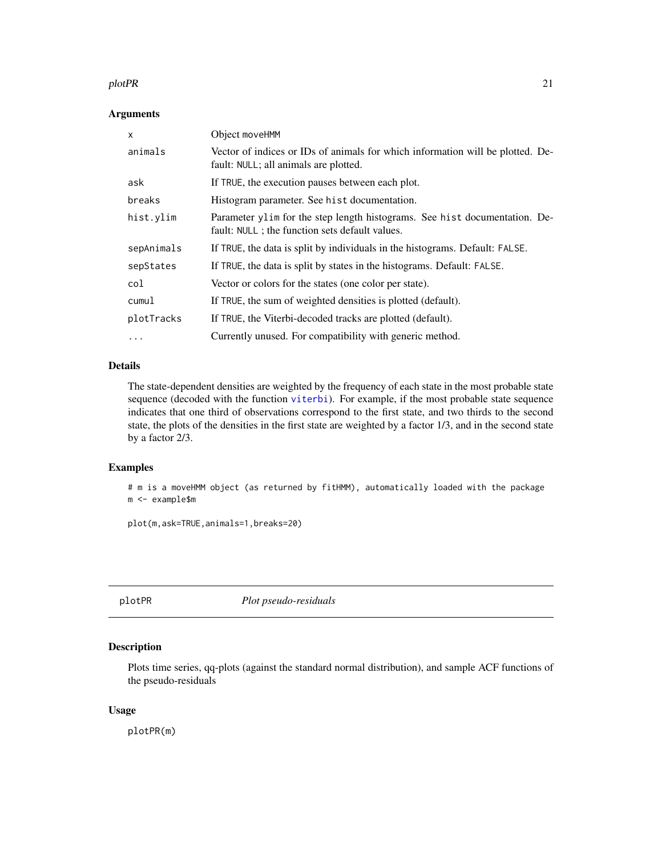#### <span id="page-20-0"></span>plotPR 21

#### Arguments

| $\mathsf{x}$ | Object moveHMM                                                                                                                |
|--------------|-------------------------------------------------------------------------------------------------------------------------------|
| animals      | Vector of indices or IDs of animals for which information will be plotted. De-<br>fault: NULL; all animals are plotted.       |
| ask          | If TRUE, the execution pauses between each plot.                                                                              |
| breaks       | Histogram parameter. See hist documentation.                                                                                  |
| hist.ylim    | Parameter ylim for the step length histograms. See hist documentation. De-<br>fault: NULL ; the function sets default values. |
| sepAnimals   | If TRUE, the data is split by individuals in the histograms. Default: FALSE.                                                  |
| sepStates    | If TRUE, the data is split by states in the histograms. Default: FALSE.                                                       |
| col          | Vector or colors for the states (one color per state).                                                                        |
| cumul        | If TRUE, the sum of weighted densities is plotted (default).                                                                  |
| plotTracks   | If TRUE, the Viterbi-decoded tracks are plotted (default).                                                                    |
| .            | Currently unused. For compatibility with generic method.                                                                      |

### Details

The state-dependent densities are weighted by the frequency of each state in the most probable state sequence (decoded with the function [viterbi](#page-30-1)). For example, if the most probable state sequence indicates that one third of observations correspond to the first state, and two thirds to the second state, the plots of the densities in the first state are weighted by a factor 1/3, and in the second state by a factor 2/3.

#### Examples

# m is a moveHMM object (as returned by fitHMM), automatically loaded with the package m <- example\$m

plot(m,ask=TRUE,animals=1,breaks=20)

<span id="page-20-1"></span>plotPR *Plot pseudo-residuals*

#### Description

Plots time series, qq-plots (against the standard normal distribution), and sample ACF functions of the pseudo-residuals

#### Usage

plotPR(m)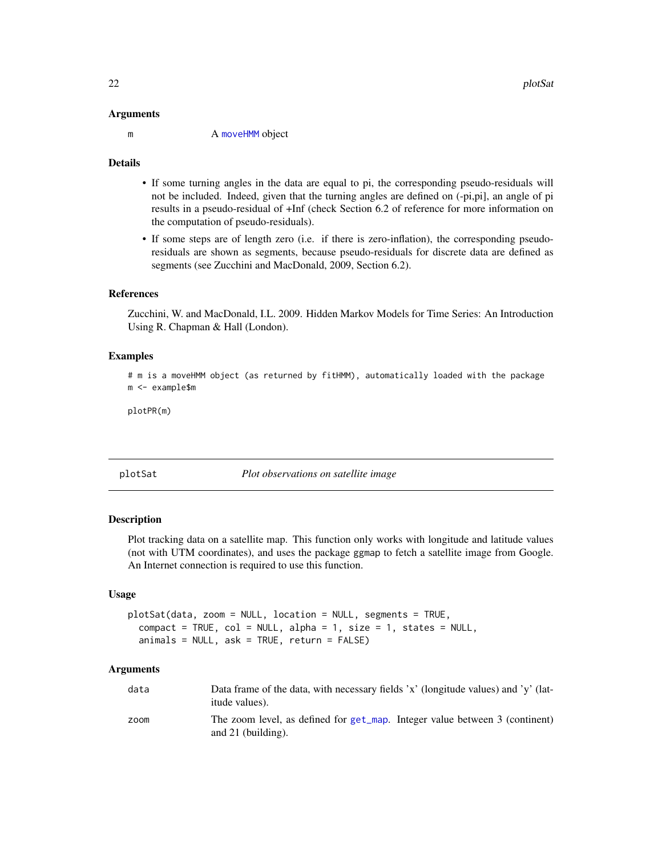#### <span id="page-21-0"></span>Arguments

m A [moveHMM](#page-14-2) object

#### Details

- If some turning angles in the data are equal to pi, the corresponding pseudo-residuals will not be included. Indeed, given that the turning angles are defined on (-pi,pi], an angle of pi results in a pseudo-residual of +Inf (check Section 6.2 of reference for more information on the computation of pseudo-residuals).
- If some steps are of length zero (i.e. if there is zero-inflation), the corresponding pseudoresiduals are shown as segments, because pseudo-residuals for discrete data are defined as segments (see Zucchini and MacDonald, 2009, Section 6.2).

#### References

Zucchini, W. and MacDonald, I.L. 2009. Hidden Markov Models for Time Series: An Introduction Using R. Chapman & Hall (London).

#### Examples

# m is a moveHMM object (as returned by fitHMM), automatically loaded with the package m <- example\$m

plotPR(m)

plotSat *Plot observations on satellite image*

#### **Description**

Plot tracking data on a satellite map. This function only works with longitude and latitude values (not with UTM coordinates), and uses the package ggmap to fetch a satellite image from Google. An Internet connection is required to use this function.

### Usage

```
plotSat(data, zoom = NULL, location = NULL, segments = TRUE,
  compact = TRUE, col = NULL, alpha = 1, size = 1, states = NULL,animals = NULL, ask = TRUE, return = FALSE)
```

| data | Data frame of the data, with necessary fields 'x' (longitude values) and 'y' (lat-<br><i>itude</i> values). |
|------|-------------------------------------------------------------------------------------------------------------|
| zoom | The zoom level, as defined for get_map. Integer value between 3 (continent)<br>and $21$ (building).         |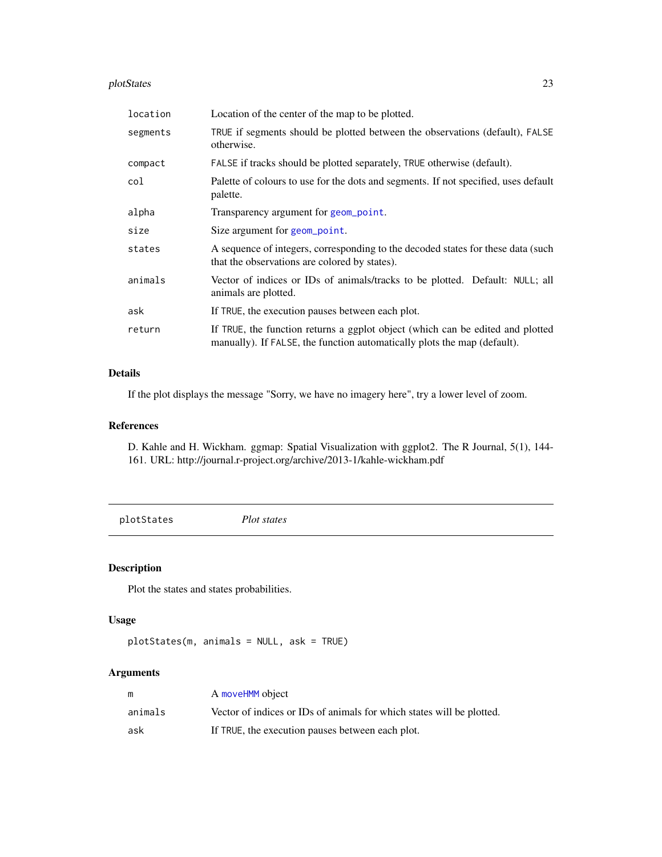#### <span id="page-22-0"></span>plotStates 23

| location | Location of the center of the map to be plotted.                                                                                                           |
|----------|------------------------------------------------------------------------------------------------------------------------------------------------------------|
| segments | TRUE if segments should be plotted between the observations (default), FALSE<br>otherwise.                                                                 |
| compact  | FALSE if tracks should be plotted separately, TRUE otherwise (default).                                                                                    |
| col      | Palette of colours to use for the dots and segments. If not specified, uses default<br>palette.                                                            |
| alpha    | Transparency argument for geom_point.                                                                                                                      |
| size     | Size argument for geom_point.                                                                                                                              |
| states   | A sequence of integers, corresponding to the decoded states for these data (such<br>that the observations are colored by states).                          |
| animals  | Vector of indices or IDs of animals/tracks to be plotted. Default: NULL; all<br>animals are plotted.                                                       |
| ask      | If TRUE, the execution pauses between each plot.                                                                                                           |
| return   | If TRUE, the function returns a ggplot object (which can be edited and plotted<br>manually). If FALSE, the function automatically plots the map (default). |

### Details

If the plot displays the message "Sorry, we have no imagery here", try a lower level of zoom.

#### References

D. Kahle and H. Wickham. ggmap: Spatial Visualization with ggplot2. The R Journal, 5(1), 144- 161. URL: http://journal.r-project.org/archive/2013-1/kahle-wickham.pdf

<span id="page-22-1"></span>plotStates *Plot states*

### Description

Plot the states and states probabilities.

#### Usage

```
plotStates(m, animals = NULL, ask = TRUE)
```

| m       | A moveHMM object                                                      |
|---------|-----------------------------------------------------------------------|
| animals | Vector of indices or IDs of animals for which states will be plotted. |
| ask     | If TRUE, the execution pauses between each plot.                      |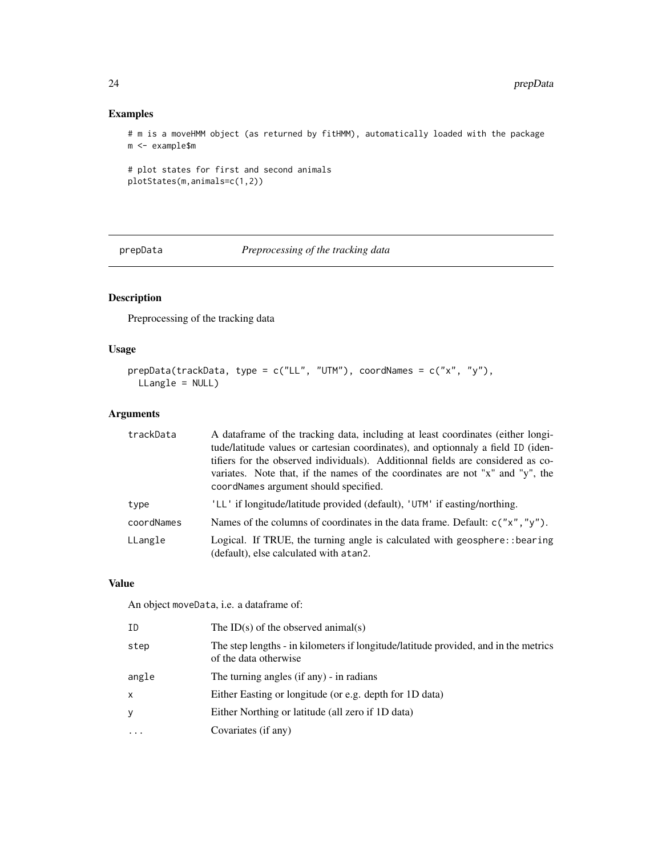### Examples

# m is a moveHMM object (as returned by fitHMM), automatically loaded with the package m <- example\$m

```
# plot states for first and second animals
plotStates(m,animals=c(1,2))
```
<span id="page-23-1"></span>prepData *Preprocessing of the tracking data*

### Description

Preprocessing of the tracking data

### Usage

```
prepData(trackData, type = c("LL", "UTM"), coordNames = c("x", "y"),
 LLangle = NULL)
```
### Arguments

| trackData  | A dataframe of the tracking data, including at least coordinates (either longi-<br>tude/latitude values or cartesian coordinates), and optionnaly a field ID (iden-<br>tifiers for the observed individuals). Additionnal fields are considered as co-<br>variates. Note that, if the names of the coordinates are not "x" and "y", the<br>coordNames argument should specified. |
|------------|----------------------------------------------------------------------------------------------------------------------------------------------------------------------------------------------------------------------------------------------------------------------------------------------------------------------------------------------------------------------------------|
| type       | 'LL' if longitude/latitude provided (default), 'UTM' if easting/northing.                                                                                                                                                                                                                                                                                                        |
| coordNames | Names of the columns of coordinates in the data frame. Default: $c("x", "y").$                                                                                                                                                                                                                                                                                                   |
| LLangle    | Logical. If TRUE, the turning angle is calculated with geosphere: : bearing<br>(default), else calculated with atan2.                                                                                                                                                                                                                                                            |

### Value

An object moveData, i.e. a dataframe of:

| ΙD    | The ID(s) of the observed animal(s)                                                                          |
|-------|--------------------------------------------------------------------------------------------------------------|
| step  | The step lengths - in kilometers if longitude/latitude provided, and in the metrics<br>of the data otherwise |
| angle | The turning angles (if any) - in radians                                                                     |
| x     | Either Easting or longitude (or e.g. depth for 1D data)                                                      |
| y     | Either Northing or latitude (all zero if 1D data)                                                            |
| .     | Covariates (if any)                                                                                          |
|       |                                                                                                              |

<span id="page-23-0"></span>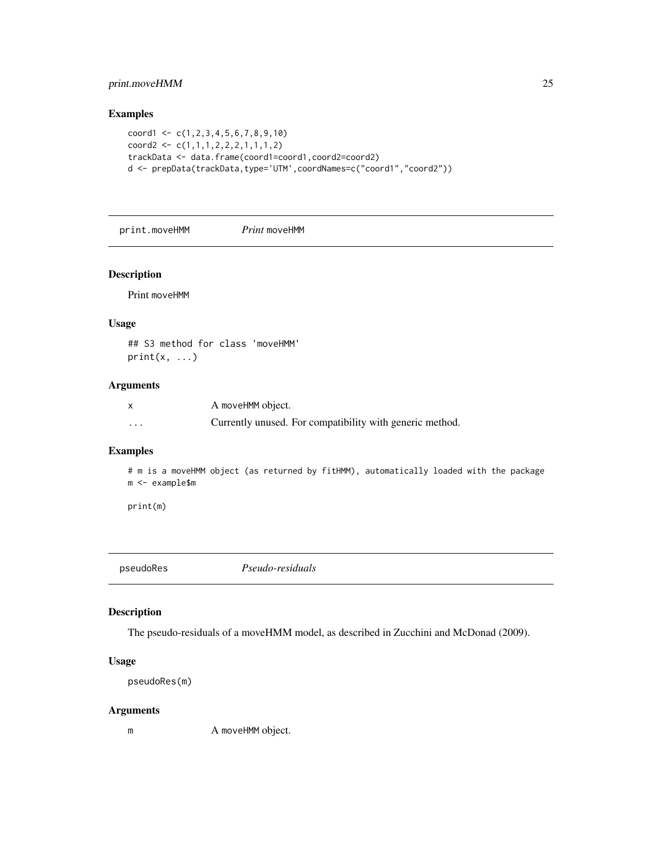### <span id="page-24-0"></span>print.moveHMM 25

### Examples

```
coord1 \leq c(1,2,3,4,5,6,7,8,9,10)coord2 < -c(1,1,1,2,2,2,1,1,1,2)trackData <- data.frame(coord1=coord1,coord2=coord2)
d <- prepData(trackData,type='UTM',coordNames=c("coord1","coord2"))
```
print.moveHMM *Print* moveHMM

#### Description

Print moveHMM

#### Usage

```
## S3 method for class 'moveHMM'
print(x, \ldots)
```
#### Arguments

|          | A moveHMM object.                                        |
|----------|----------------------------------------------------------|
| $\cdots$ | Currently unused. For compatibility with generic method. |

#### Examples

# m is a moveHMM object (as returned by fitHMM), automatically loaded with the package m <- example\$m

print(m)

<span id="page-24-1"></span>pseudoRes *Pseudo-residuals*

### Description

The pseudo-residuals of a moveHMM model, as described in Zucchini and McDonad (2009).

#### Usage

```
pseudoRes(m)
```
#### Arguments

m A moveHMM object.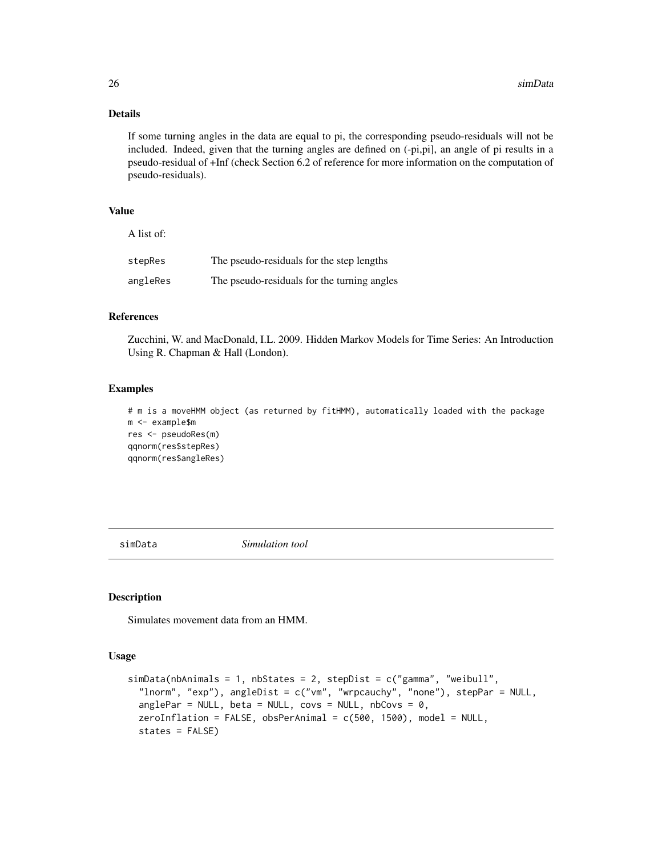#### Details

If some turning angles in the data are equal to pi, the corresponding pseudo-residuals will not be included. Indeed, given that the turning angles are defined on (-pi,pi], an angle of pi results in a pseudo-residual of +Inf (check Section 6.2 of reference for more information on the computation of pseudo-residuals).

#### Value

 $\lambda$  is  $\lambda$  of of

| A list of: |                                             |
|------------|---------------------------------------------|
| stepRes    | The pseudo-residuals for the step lengths   |
| angleRes   | The pseudo-residuals for the turning angles |

#### References

Zucchini, W. and MacDonald, I.L. 2009. Hidden Markov Models for Time Series: An Introduction Using R. Chapman & Hall (London).

#### Examples

```
# m is a moveHMM object (as returned by fitHMM), automatically loaded with the package
m <- example$m
res <- pseudoRes(m)
qqnorm(res$stepRes)
qqnorm(res$angleRes)
```
simData *Simulation tool*

#### Description

Simulates movement data from an HMM.

#### Usage

```
simData(nbAnimals = 1, nbStates = 2, stepDist = c("gamma", "weibull",
  "lnorm", "exp"), angleDist = c("vm", "wrpcauchy", "none"), stepPar = NULL,
  anglePar = NULL, beta = NULL, covs = NULL, nbCovs = 0,
 zeroInflation = FALSE, obsPerAnimal = c(500, 1500), model = NULL,states = FALSE)
```
<span id="page-25-0"></span>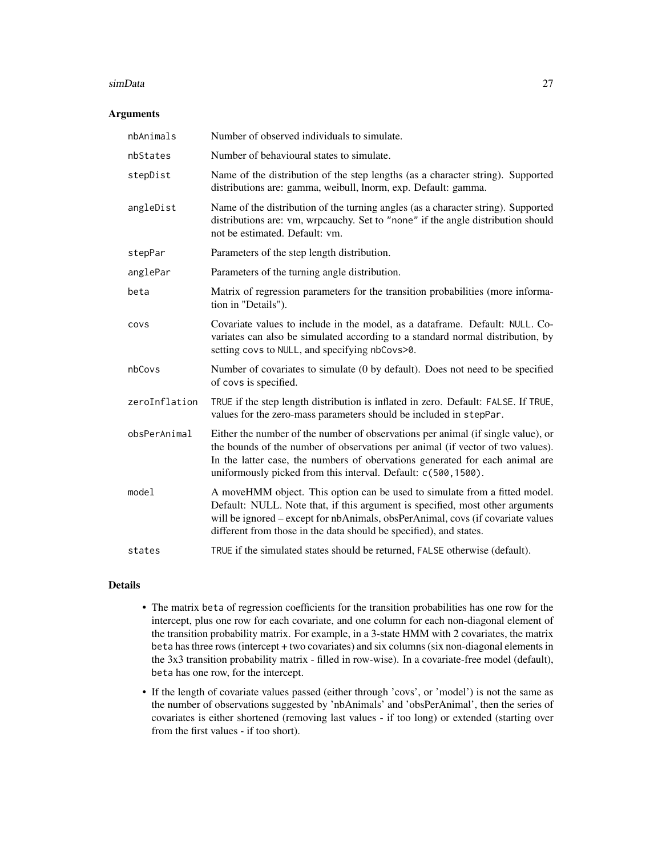#### simData 27

#### Arguments

| nbAnimals     | Number of observed individuals to simulate.                                                                                                                                                                                                                                                                          |
|---------------|----------------------------------------------------------------------------------------------------------------------------------------------------------------------------------------------------------------------------------------------------------------------------------------------------------------------|
| nbStates      | Number of behavioural states to simulate.                                                                                                                                                                                                                                                                            |
| stepDist      | Name of the distribution of the step lengths (as a character string). Supported<br>distributions are: gamma, weibull, lnorm, exp. Default: gamma.                                                                                                                                                                    |
| angleDist     | Name of the distribution of the turning angles (as a character string). Supported<br>distributions are: vm, wrpcauchy. Set to "none" if the angle distribution should<br>not be estimated. Default: vm.                                                                                                              |
| stepPar       | Parameters of the step length distribution.                                                                                                                                                                                                                                                                          |
| anglePar      | Parameters of the turning angle distribution.                                                                                                                                                                                                                                                                        |
| beta          | Matrix of regression parameters for the transition probabilities (more informa-<br>tion in "Details").                                                                                                                                                                                                               |
| COVS          | Covariate values to include in the model, as a dataframe. Default: NULL. Co-<br>variates can also be simulated according to a standard normal distribution, by<br>setting covs to NULL, and specifying nbCovs>0.                                                                                                     |
| nbCovs        | Number of covariates to simulate (0 by default). Does not need to be specified<br>of covs is specified.                                                                                                                                                                                                              |
| zeroInflation | TRUE if the step length distribution is inflated in zero. Default: FALSE. If TRUE,<br>values for the zero-mass parameters should be included in stepPar.                                                                                                                                                             |
| obsPerAnimal  | Either the number of the number of observations per animal (if single value), or<br>the bounds of the number of observations per animal (if vector of two values).<br>In the latter case, the numbers of obervations generated for each animal are<br>uniformously picked from this interval. Default: c(500,1500).  |
| model         | A moveHMM object. This option can be used to simulate from a fitted model.<br>Default: NULL. Note that, if this argument is specified, most other arguments<br>will be ignored - except for nbAnimals, obsPerAnimal, covs (if covariate values<br>different from those in the data should be specified), and states. |
| states        | TRUE if the simulated states should be returned, FALSE otherwise (default).                                                                                                                                                                                                                                          |

#### Details

- The matrix beta of regression coefficients for the transition probabilities has one row for the intercept, plus one row for each covariate, and one column for each non-diagonal element of the transition probability matrix. For example, in a 3-state HMM with 2 covariates, the matrix beta has three rows (intercept + two covariates) and six columns (six non-diagonal elements in the 3x3 transition probability matrix - filled in row-wise). In a covariate-free model (default), beta has one row, for the intercept.
- If the length of covariate values passed (either through 'covs', or 'model') is not the same as the number of observations suggested by 'nbAnimals' and 'obsPerAnimal', then the series of covariates is either shortened (removing last values - if too long) or extended (starting over from the first values - if too short).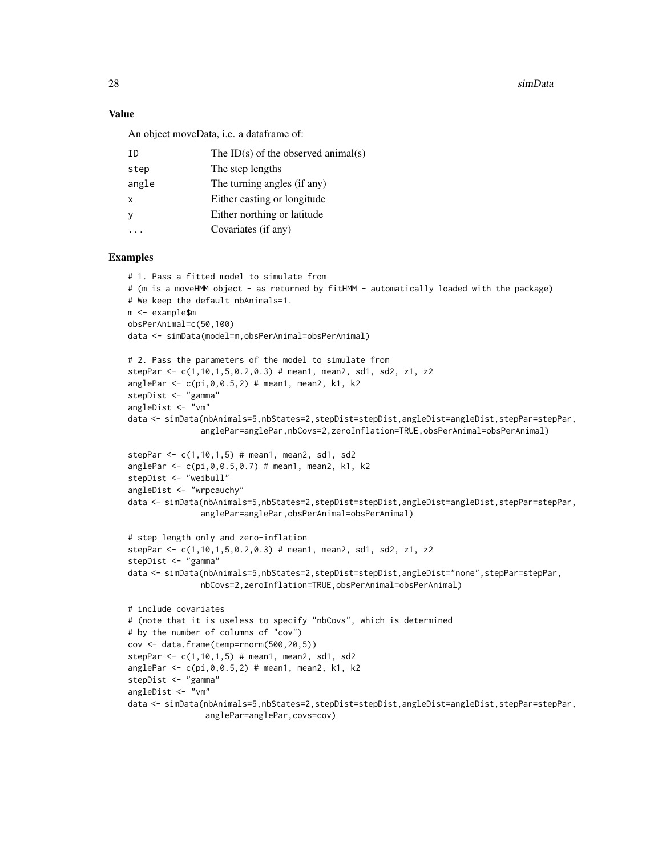28 simData

#### Value

An object moveData, i.e. a dataframe of:

| TD.          | The ID(s) of the observed animal(s) |
|--------------|-------------------------------------|
| step         | The step lengths                    |
| angle        | The turning angles (if any)         |
| $\mathsf{x}$ | Either easting or longitude         |
| y            | Either northing or latitude         |
|              | Covariates (if any)                 |
|              |                                     |

#### Examples

```
# 1. Pass a fitted model to simulate from
# (m is a moveHMM object - as returned by fitHMM - automatically loaded with the package)
# We keep the default nbAnimals=1.
m <- example$m
obsPerAnimal=c(50,100)
data <- simData(model=m,obsPerAnimal=obsPerAnimal)
# 2. Pass the parameters of the model to simulate from
stepPar <- c(1,10,1,5,0.2,0.3) # mean1, mean2, sd1, sd2, z1, z2
anglePar <- c(pi,0,0.5,2) # mean1, mean2, k1, k2
stepDist <- "gamma"
angleDist <- "vm"
data <- simData(nbAnimals=5,nbStates=2,stepDist=stepDist,angleDist=angleDist,stepPar=stepPar,
               anglePar=anglePar,nbCovs=2,zeroInflation=TRUE,obsPerAnimal=obsPerAnimal)
stepPar \leq c(1, 10, 1, 5) # mean1, mean2, sd1, sd2
anglePar <- c(pi,0,0.5,0.7) # mean1, mean2, k1, k2
stepDist <- "weibull"
angleDist <- "wrpcauchy"
data <- simData(nbAnimals=5,nbStates=2,stepDist=stepDist,angleDist=angleDist,stepPar=stepPar,
               anglePar=anglePar,obsPerAnimal=obsPerAnimal)
# step length only and zero-inflation
stepPar <- c(1,10,1,5,0.2,0.3) # mean1, mean2, sd1, sd2, z1, z2
stepDist <- "gamma"
data <- simData(nbAnimals=5,nbStates=2,stepDist=stepDist,angleDist="none",stepPar=stepPar,
               nbCovs=2,zeroInflation=TRUE,obsPerAnimal=obsPerAnimal)
# include covariates
# (note that it is useless to specify "nbCovs", which is determined
# by the number of columns of "cov")
cov <- data.frame(temp=rnorm(500,20,5))
stepPar <- c(1,10,1,5) # mean1, mean2, sd1, sd2
anglePar < -c(pi, 0, 0.5, 2) # mean1, mean2, k1, k2
stepDist <- "gamma"
angleDist <- "vm"
data <- simData(nbAnimals=5,nbStates=2,stepDist=stepDist,angleDist=angleDist,stepPar=stepPar,
                anglePar=anglePar,covs=cov)
```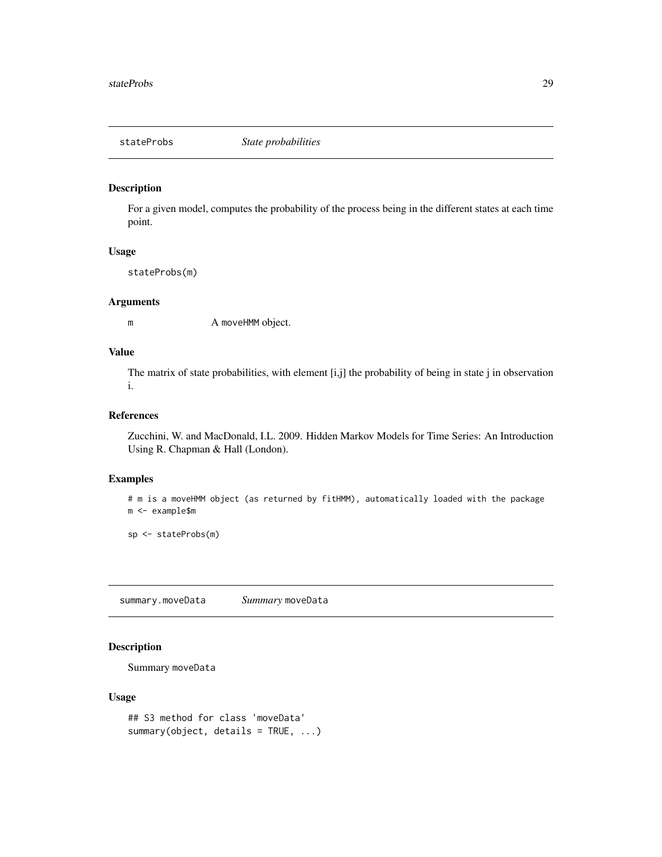<span id="page-28-1"></span><span id="page-28-0"></span>

For a given model, computes the probability of the process being in the different states at each time point.

#### Usage

stateProbs(m)

#### Arguments

m A moveHMM object.

### Value

The matrix of state probabilities, with element [i,j] the probability of being in state j in observation i.

#### References

Zucchini, W. and MacDonald, I.L. 2009. Hidden Markov Models for Time Series: An Introduction Using R. Chapman & Hall (London).

#### Examples

```
# m is a moveHMM object (as returned by fitHMM), automatically loaded with the package
m <- example$m
```
sp <- stateProbs(m)

summary.moveData *Summary* moveData

### Description

Summary moveData

### Usage

```
## S3 method for class 'moveData'
summary(object, details = TRUE, ...)
```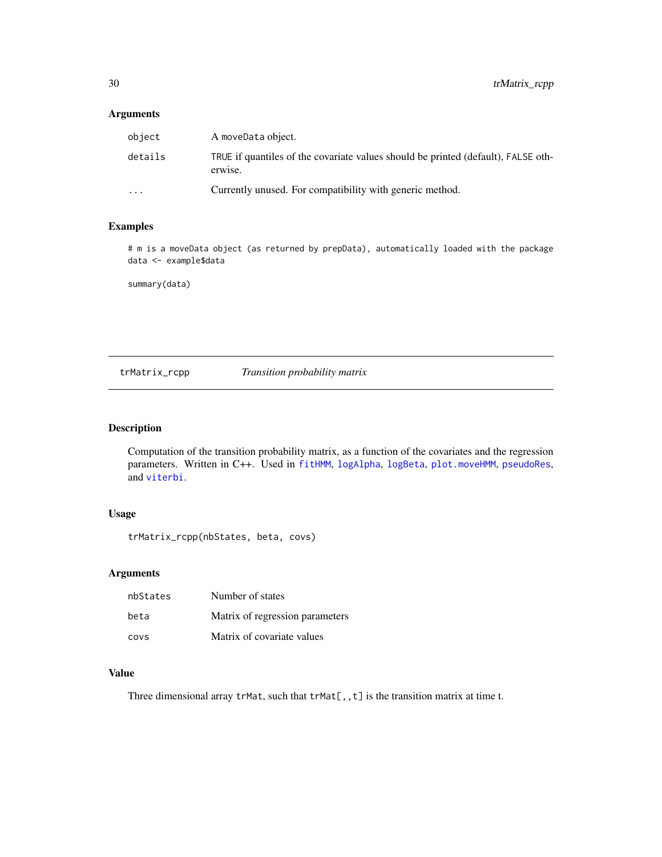### <span id="page-29-0"></span>Arguments

| object                  | A moveData object.                                                                           |
|-------------------------|----------------------------------------------------------------------------------------------|
| details                 | TRUE if quantiles of the covariate values should be printed (default), FALSE oth-<br>erwise. |
| $\cdot$ $\cdot$ $\cdot$ | Currently unused. For compatibility with generic method.                                     |

### Examples

# m is a moveData object (as returned by prepData), automatically loaded with the package data <- example\$data

summary(data)

trMatrix\_rcpp *Transition probability matrix*

### Description

Computation of the transition probability matrix, as a function of the covariates and the regression parameters. Written in C++. Used in [fitHMM](#page-9-2), [logAlpha](#page-13-1), [logBeta](#page-13-2), [plot.moveHMM](#page-19-1), [pseudoRes](#page-24-1), and [viterbi](#page-30-1).

### Usage

trMatrix\_rcpp(nbStates, beta, covs)

#### Arguments

| nbStates | Number of states                |
|----------|---------------------------------|
| beta     | Matrix of regression parameters |
| covs     | Matrix of covariate values      |

### Value

Three dimensional array  $trMat$ , such that  $trMat[,, t]$  is the transition matrix at time t.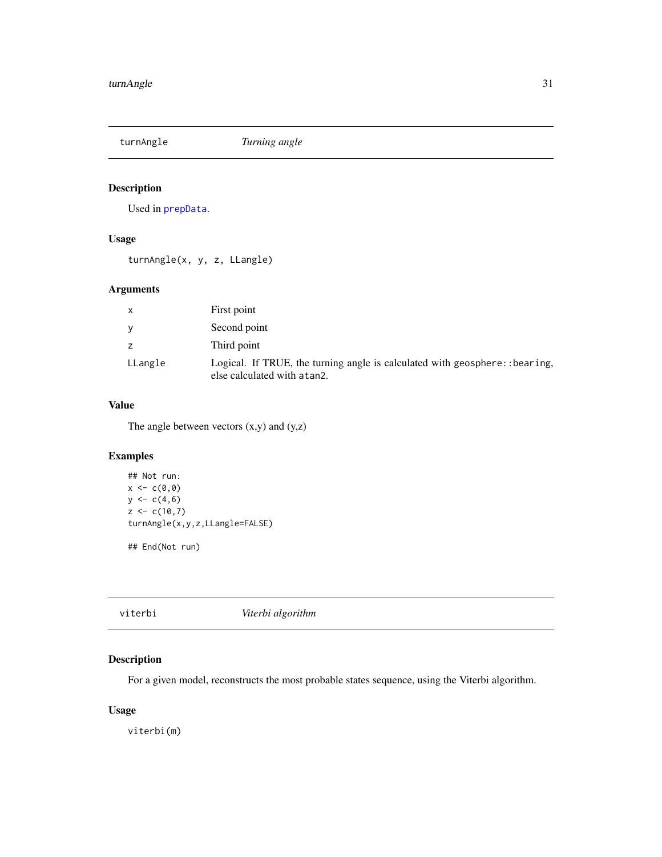<span id="page-30-0"></span>turnAngle *Turning angle*

### Description

Used in [prepData](#page-23-1).

### Usage

turnAngle(x, y, z, LLangle)

### Arguments

| $\mathsf{x}$ | First point                                                                                                  |
|--------------|--------------------------------------------------------------------------------------------------------------|
| <b>V</b>     | Second point                                                                                                 |
| z            | Third point                                                                                                  |
| LLangle      | Logical. If TRUE, the turning angle is calculated with geosphere:: bearing,<br>else calculated with at an 2. |

### Value

The angle between vectors  $(x,y)$  and  $(y,z)$ 

### Examples

```
## Not run:
x < -c(0, 0)y \leftarrow c(4, 6)z < -c(10,7)turnAngle(x,y,z,LLangle=FALSE)
```
## End(Not run)

<span id="page-30-1"></span>

|--|

### Description

For a given model, reconstructs the most probable states sequence, using the Viterbi algorithm.

### Usage

viterbi(m)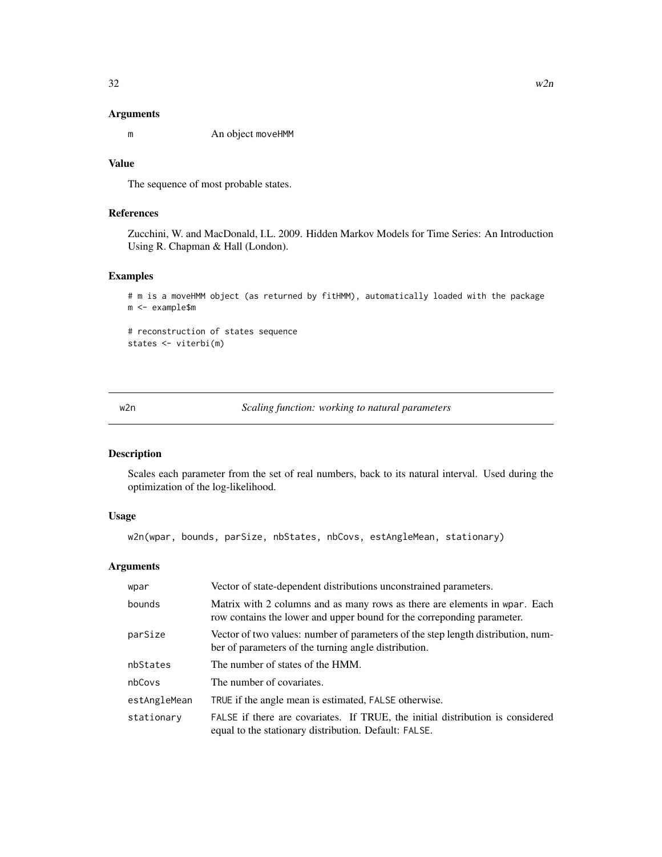#### <span id="page-31-0"></span>Arguments

m An object moveHMM

### Value

The sequence of most probable states.

### References

Zucchini, W. and MacDonald, I.L. 2009. Hidden Markov Models for Time Series: An Introduction Using R. Chapman & Hall (London).

### Examples

# m is a moveHMM object (as returned by fitHMM), automatically loaded with the package m <- example\$m

# reconstruction of states sequence states <- viterbi(m)

w2n *Scaling function: working to natural parameters*

### Description

Scales each parameter from the set of real numbers, back to its natural interval. Used during the optimization of the log-likelihood.

### Usage

w2n(wpar, bounds, parSize, nbStates, nbCovs, estAngleMean, stationary)

| wpar         | Vector of state-dependent distributions unconstrained parameters.                                                                                    |
|--------------|------------------------------------------------------------------------------------------------------------------------------------------------------|
| bounds       | Matrix with 2 columns and as many rows as there are elements in wpar. Each<br>row contains the lower and upper bound for the correponding parameter. |
| parSize      | Vector of two values: number of parameters of the step length distribution, num-<br>ber of parameters of the turning angle distribution.             |
| nbStates     | The number of states of the HMM.                                                                                                                     |
| nbCovs       | The number of covariates.                                                                                                                            |
| estAngleMean | TRUE if the angle mean is estimated, FALSE otherwise.                                                                                                |
| stationary   | FALSE if there are covariates. If TRUE, the initial distribution is considered<br>equal to the stationary distribution. Default: FALSE.              |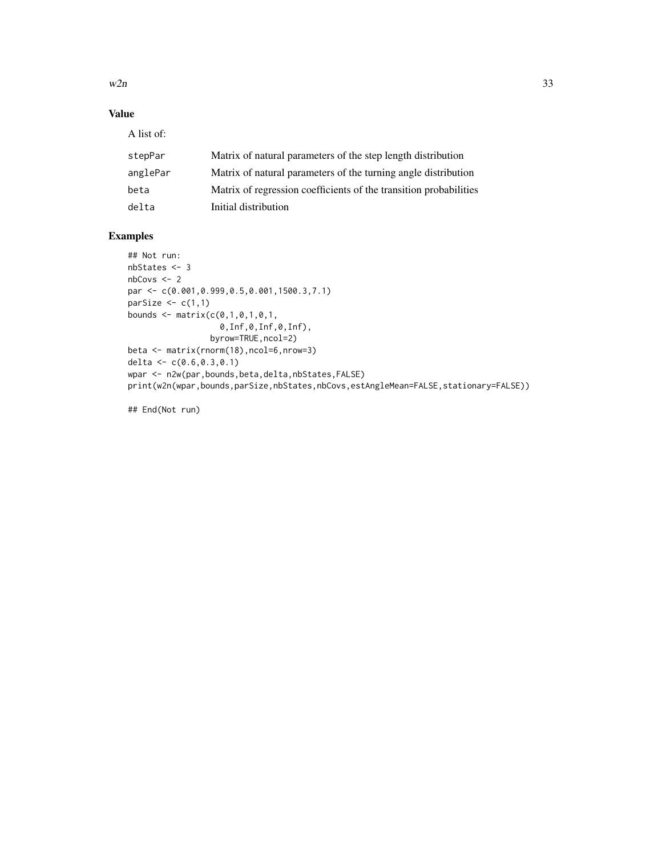$w2n$  33

### Value

A list of:

| stepPar  | Matrix of natural parameters of the step length distribution      |
|----------|-------------------------------------------------------------------|
| anglePar | Matrix of natural parameters of the turning angle distribution    |
| beta     | Matrix of regression coefficients of the transition probabilities |
| delta    | Initial distribution                                              |

### Examples

```
## Not run:
nbStates <- 3
nbCovs <- 2
par <- c(0.001,0.999,0.5,0.001,1500.3,7.1)
parSize \leq c(1,1)bounds \leq matrix(c(0,1,0,1,0,1,0)0,Inf,0,Inf,0,Inf),
                 byrow=TRUE,ncol=2)
beta <- matrix(rnorm(18),ncol=6,nrow=3)
delta <- c(0.6,0.3,0.1)
wpar <- n2w(par,bounds,beta,delta,nbStates,FALSE)
print(w2n(wpar,bounds,parSize,nbStates,nbCovs,estAngleMean=FALSE,stationary=FALSE))
```
## End(Not run)